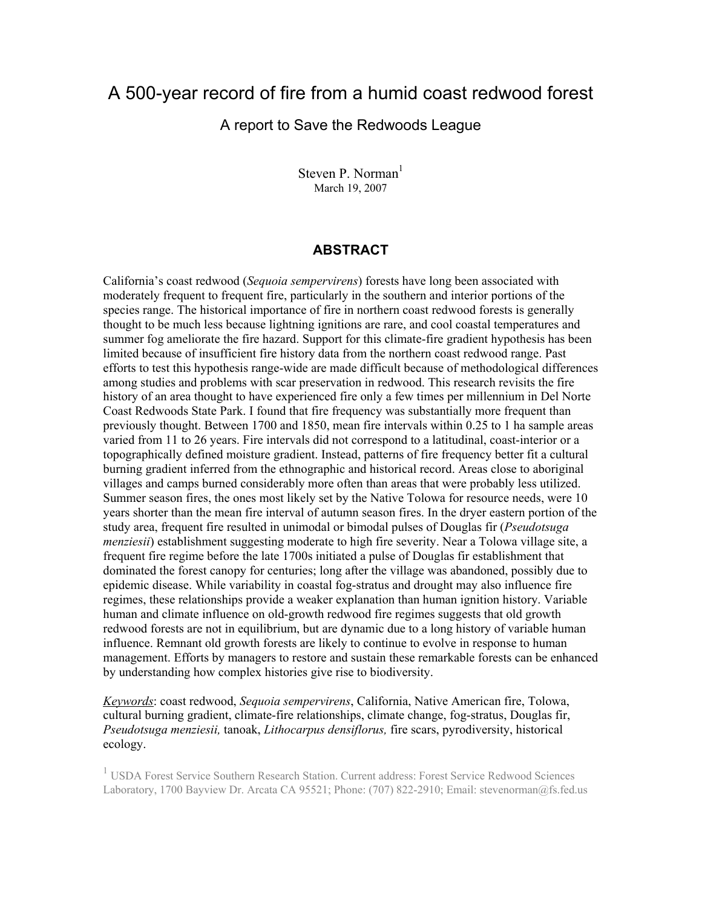# A 500-year record of fire from a humid coast redwood forest

#### A report to Save the Redwoods League

Steven P. Norman<sup>1</sup> March 19, 2007

#### **ABSTRACT**

California's coast redwood (*Sequoia sempervirens*) forests have long been associated with moderately frequent to frequent fire, particularly in the southern and interior portions of the species range. The historical importance of fire in northern coast redwood forests is generally thought to be much less because lightning ignitions are rare, and cool coastal temperatures and summer fog ameliorate the fire hazard. Support for this climate-fire gradient hypothesis has been limited because of insufficient fire history data from the northern coast redwood range. Past efforts to test this hypothesis range-wide are made difficult because of methodological differences among studies and problems with scar preservation in redwood. This research revisits the fire history of an area thought to have experienced fire only a few times per millennium in Del Norte Coast Redwoods State Park. I found that fire frequency was substantially more frequent than previously thought. Between 1700 and 1850, mean fire intervals within 0.25 to 1 ha sample areas varied from 11 to 26 years. Fire intervals did not correspond to a latitudinal, coast-interior or a topographically defined moisture gradient. Instead, patterns of fire frequency better fit a cultural burning gradient inferred from the ethnographic and historical record. Areas close to aboriginal villages and camps burned considerably more often than areas that were probably less utilized. Summer season fires, the ones most likely set by the Native Tolowa for resource needs, were 10 years shorter than the mean fire interval of autumn season fires. In the dryer eastern portion of the study area, frequent fire resulted in unimodal or bimodal pulses of Douglas fir (*Pseudotsuga menziesii*) establishment suggesting moderate to high fire severity. Near a Tolowa village site, a frequent fire regime before the late 1700s initiated a pulse of Douglas fir establishment that dominated the forest canopy for centuries; long after the village was abandoned, possibly due to epidemic disease. While variability in coastal fog-stratus and drought may also influence fire regimes, these relationships provide a weaker explanation than human ignition history. Variable human and climate influence on old-growth redwood fire regimes suggests that old growth redwood forests are not in equilibrium, but are dynamic due to a long history of variable human influence. Remnant old growth forests are likely to continue to evolve in response to human management. Efforts by managers to restore and sustain these remarkable forests can be enhanced by understanding how complex histories give rise to biodiversity.

*Keywords*: coast redwood, *Sequoia sempervirens*, California, Native American fire, Tolowa, cultural burning gradient, climate-fire relationships, climate change, fog-stratus, Douglas fir, *Pseudotsuga menziesii,* tanoak, *Lithocarpus densiflorus,* fire scars, pyrodiversity, historical ecology.

<sup>1</sup> USDA Forest Service Southern Research Station. Current address: Forest Service Redwood Sciences Laboratory, 1700 Bayview Dr. Arcata CA 95521; Phone: (707) 822-2910; Email: stevenorman@fs.fed.us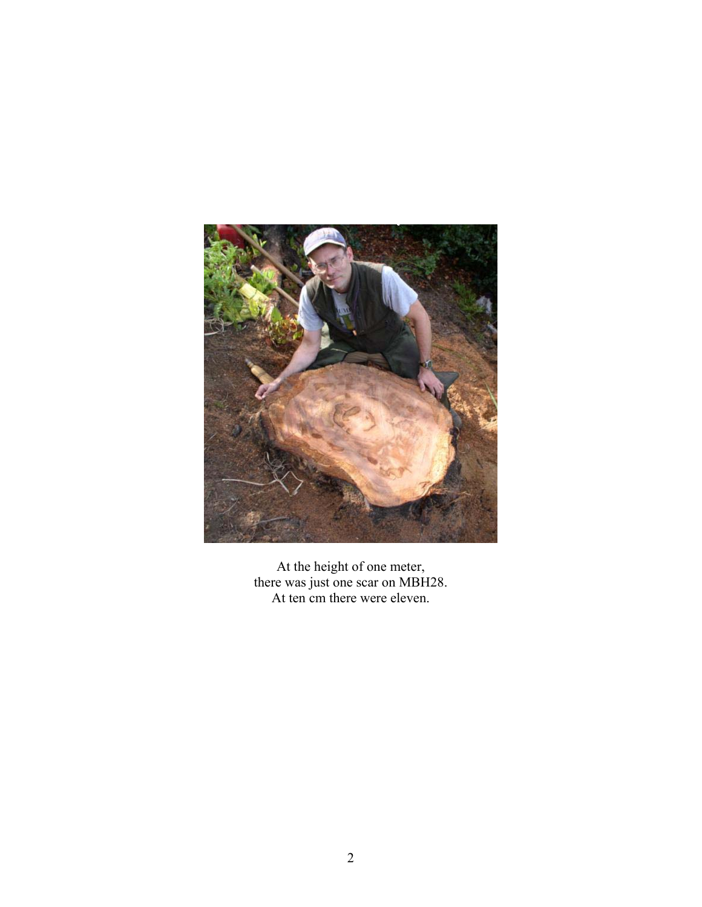

At the height of one meter, there was just one scar on MBH28. At ten cm there were eleven.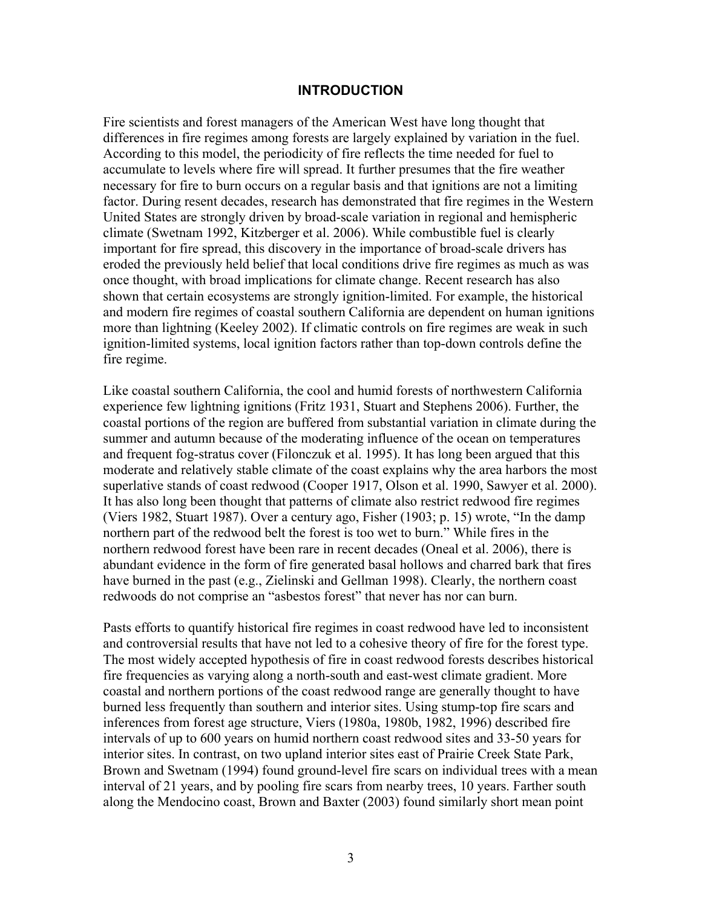#### **INTRODUCTION**

Fire scientists and forest managers of the American West have long thought that differences in fire regimes among forests are largely explained by variation in the fuel. According to this model, the periodicity of fire reflects the time needed for fuel to accumulate to levels where fire will spread. It further presumes that the fire weather necessary for fire to burn occurs on a regular basis and that ignitions are not a limiting factor. During resent decades, research has demonstrated that fire regimes in the Western United States are strongly driven by broad-scale variation in regional and hemispheric climate (Swetnam 1992, Kitzberger et al. 2006). While combustible fuel is clearly important for fire spread, this discovery in the importance of broad-scale drivers has eroded the previously held belief that local conditions drive fire regimes as much as was once thought, with broad implications for climate change. Recent research has also shown that certain ecosystems are strongly ignition-limited. For example, the historical and modern fire regimes of coastal southern California are dependent on human ignitions more than lightning (Keeley 2002). If climatic controls on fire regimes are weak in such ignition-limited systems, local ignition factors rather than top-down controls define the fire regime.

Like coastal southern California, the cool and humid forests of northwestern California experience few lightning ignitions (Fritz 1931, Stuart and Stephens 2006). Further, the coastal portions of the region are buffered from substantial variation in climate during the summer and autumn because of the moderating influence of the ocean on temperatures and frequent fog-stratus cover (Filonczuk et al. 1995). It has long been argued that this moderate and relatively stable climate of the coast explains why the area harbors the most superlative stands of coast redwood (Cooper 1917, Olson et al. 1990, Sawyer et al. 2000). It has also long been thought that patterns of climate also restrict redwood fire regimes (Viers 1982, Stuart 1987). Over a century ago, Fisher (1903; p. 15) wrote, "In the damp northern part of the redwood belt the forest is too wet to burn." While fires in the northern redwood forest have been rare in recent decades (Oneal et al. 2006), there is abundant evidence in the form of fire generated basal hollows and charred bark that fires have burned in the past (e.g., Zielinski and Gellman 1998). Clearly, the northern coast redwoods do not comprise an "asbestos forest" that never has nor can burn.

Pasts efforts to quantify historical fire regimes in coast redwood have led to inconsistent and controversial results that have not led to a cohesive theory of fire for the forest type. The most widely accepted hypothesis of fire in coast redwood forests describes historical fire frequencies as varying along a north-south and east-west climate gradient. More coastal and northern portions of the coast redwood range are generally thought to have burned less frequently than southern and interior sites. Using stump-top fire scars and inferences from forest age structure, Viers (1980a, 1980b, 1982, 1996) described fire intervals of up to 600 years on humid northern coast redwood sites and 33-50 years for interior sites. In contrast, on two upland interior sites east of Prairie Creek State Park, Brown and Swetnam (1994) found ground-level fire scars on individual trees with a mean interval of 21 years, and by pooling fire scars from nearby trees, 10 years. Farther south along the Mendocino coast, Brown and Baxter (2003) found similarly short mean point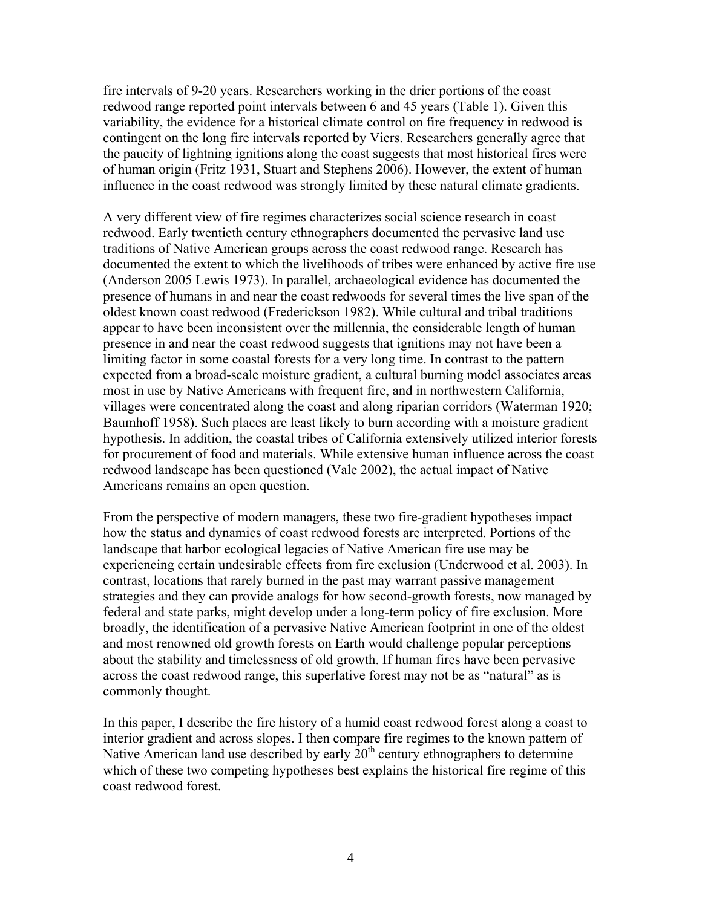fire intervals of 9-20 years. Researchers working in the drier portions of the coast redwood range reported point intervals between 6 and 45 years (Table 1). Given this variability, the evidence for a historical climate control on fire frequency in redwood is contingent on the long fire intervals reported by Viers. Researchers generally agree that the paucity of lightning ignitions along the coast suggests that most historical fires were of human origin (Fritz 1931, Stuart and Stephens 2006). However, the extent of human influence in the coast redwood was strongly limited by these natural climate gradients.

A very different view of fire regimes characterizes social science research in coast redwood. Early twentieth century ethnographers documented the pervasive land use traditions of Native American groups across the coast redwood range. Research has documented the extent to which the livelihoods of tribes were enhanced by active fire use (Anderson 2005 Lewis 1973). In parallel, archaeological evidence has documented the presence of humans in and near the coast redwoods for several times the live span of the oldest known coast redwood (Frederickson 1982). While cultural and tribal traditions appear to have been inconsistent over the millennia, the considerable length of human presence in and near the coast redwood suggests that ignitions may not have been a limiting factor in some coastal forests for a very long time. In contrast to the pattern expected from a broad-scale moisture gradient, a cultural burning model associates areas most in use by Native Americans with frequent fire, and in northwestern California, villages were concentrated along the coast and along riparian corridors (Waterman 1920; Baumhoff 1958). Such places are least likely to burn according with a moisture gradient hypothesis. In addition, the coastal tribes of California extensively utilized interior forests for procurement of food and materials. While extensive human influence across the coast redwood landscape has been questioned (Vale 2002), the actual impact of Native Americans remains an open question.

From the perspective of modern managers, these two fire-gradient hypotheses impact how the status and dynamics of coast redwood forests are interpreted. Portions of the landscape that harbor ecological legacies of Native American fire use may be experiencing certain undesirable effects from fire exclusion (Underwood et al. 2003). In contrast, locations that rarely burned in the past may warrant passive management strategies and they can provide analogs for how second-growth forests, now managed by federal and state parks, might develop under a long-term policy of fire exclusion. More broadly, the identification of a pervasive Native American footprint in one of the oldest and most renowned old growth forests on Earth would challenge popular perceptions about the stability and timelessness of old growth. If human fires have been pervasive across the coast redwood range, this superlative forest may not be as "natural" as is commonly thought.

In this paper, I describe the fire history of a humid coast redwood forest along a coast to interior gradient and across slopes. I then compare fire regimes to the known pattern of Native American land use described by early  $20<sup>th</sup>$  century ethnographers to determine which of these two competing hypotheses best explains the historical fire regime of this coast redwood forest.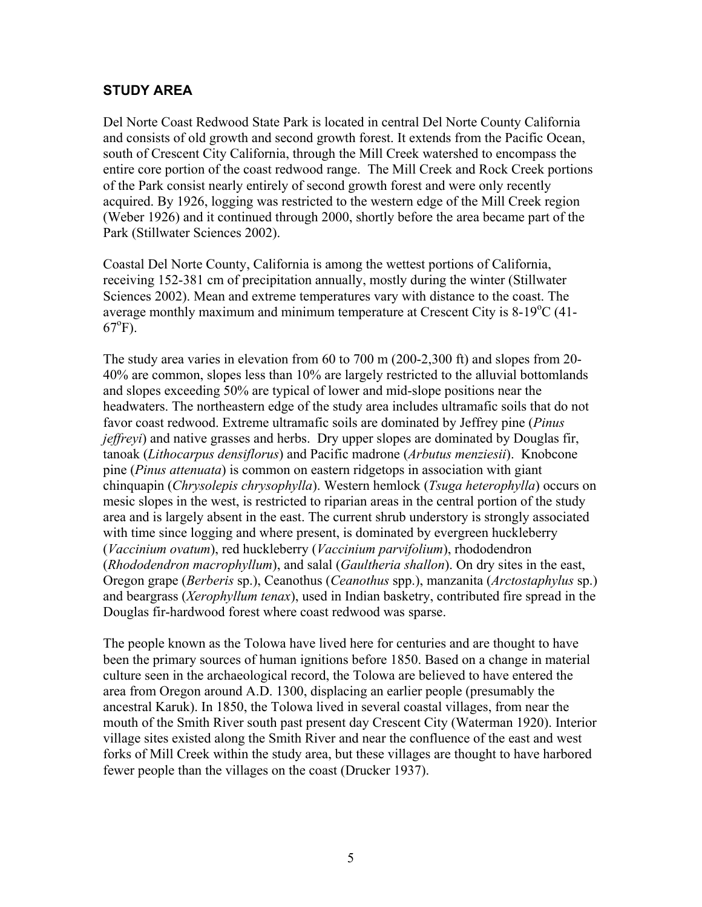# **STUDY AREA**

Del Norte Coast Redwood State Park is located in central Del Norte County California and consists of old growth and second growth forest. It extends from the Pacific Ocean, south of Crescent City California, through the Mill Creek watershed to encompass the entire core portion of the coast redwood range. The Mill Creek and Rock Creek portions of the Park consist nearly entirely of second growth forest and were only recently acquired. By 1926, logging was restricted to the western edge of the Mill Creek region (Weber 1926) and it continued through 2000, shortly before the area became part of the Park (Stillwater Sciences 2002).

Coastal Del Norte County, California is among the wettest portions of California, receiving 152-381 cm of precipitation annually, mostly during the winter (Stillwater Sciences 2002). Mean and extreme temperatures vary with distance to the coast. The average monthly maximum and minimum temperature at Crescent City is  $8-19^{\circ}$ C (41- $67^{\circ}$ F).

The study area varies in elevation from 60 to 700 m (200-2,300 ft) and slopes from 20- 40% are common, slopes less than 10% are largely restricted to the alluvial bottomlands and slopes exceeding 50% are typical of lower and mid-slope positions near the headwaters. The northeastern edge of the study area includes ultramafic soils that do not favor coast redwood. Extreme ultramafic soils are dominated by Jeffrey pine (*Pinus jeffreyi*) and native grasses and herbs. Dry upper slopes are dominated by Douglas fir, tanoak (*Lithocarpus densiflorus*) and Pacific madrone (*Arbutus menziesii*). Knobcone pine (*Pinus attenuata*) is common on eastern ridgetops in association with giant chinquapin (*Chrysolepis chrysophylla*). Western hemlock (*Tsuga heterophylla*) occurs on mesic slopes in the west, is restricted to riparian areas in the central portion of the study area and is largely absent in the east. The current shrub understory is strongly associated with time since logging and where present, is dominated by evergreen huckleberry (*Vaccinium ovatum*), red huckleberry (*Vaccinium parvifolium*), rhododendron (*Rhododendron macrophyllum*), and salal (*Gaultheria shallon*). On dry sites in the east, Oregon grape (*Berberis* sp.), Ceanothus (*Ceanothus* spp.), manzanita (*Arctostaphylus* sp.) and beargrass (*Xerophyllum tenax*), used in Indian basketry, contributed fire spread in the Douglas fir-hardwood forest where coast redwood was sparse.

The people known as the Tolowa have lived here for centuries and are thought to have been the primary sources of human ignitions before 1850. Based on a change in material culture seen in the archaeological record, the Tolowa are believed to have entered the area from Oregon around A.D. 1300, displacing an earlier people (presumably the ancestral Karuk). In 1850, the Tolowa lived in several coastal villages, from near the mouth of the Smith River south past present day Crescent City (Waterman 1920). Interior village sites existed along the Smith River and near the confluence of the east and west forks of Mill Creek within the study area, but these villages are thought to have harbored fewer people than the villages on the coast (Drucker 1937).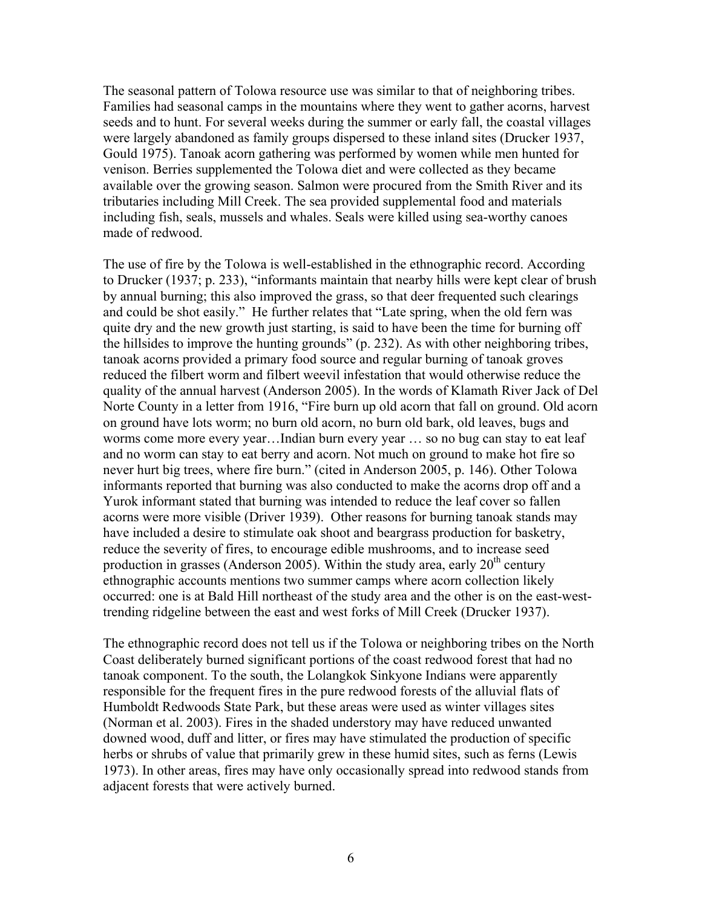The seasonal pattern of Tolowa resource use was similar to that of neighboring tribes. Families had seasonal camps in the mountains where they went to gather acorns, harvest seeds and to hunt. For several weeks during the summer or early fall, the coastal villages were largely abandoned as family groups dispersed to these inland sites (Drucker 1937, Gould 1975). Tanoak acorn gathering was performed by women while men hunted for venison. Berries supplemented the Tolowa diet and were collected as they became available over the growing season. Salmon were procured from the Smith River and its tributaries including Mill Creek. The sea provided supplemental food and materials including fish, seals, mussels and whales. Seals were killed using sea-worthy canoes made of redwood.

The use of fire by the Tolowa is well-established in the ethnographic record. According to Drucker (1937; p. 233), "informants maintain that nearby hills were kept clear of brush by annual burning; this also improved the grass, so that deer frequented such clearings and could be shot easily." He further relates that "Late spring, when the old fern was quite dry and the new growth just starting, is said to have been the time for burning off the hillsides to improve the hunting grounds" (p. 232). As with other neighboring tribes, tanoak acorns provided a primary food source and regular burning of tanoak groves reduced the filbert worm and filbert weevil infestation that would otherwise reduce the quality of the annual harvest (Anderson 2005). In the words of Klamath River Jack of Del Norte County in a letter from 1916, "Fire burn up old acorn that fall on ground. Old acorn on ground have lots worm; no burn old acorn, no burn old bark, old leaves, bugs and worms come more every year…Indian burn every year … so no bug can stay to eat leaf and no worm can stay to eat berry and acorn. Not much on ground to make hot fire so never hurt big trees, where fire burn." (cited in Anderson 2005, p. 146). Other Tolowa informants reported that burning was also conducted to make the acorns drop off and a Yurok informant stated that burning was intended to reduce the leaf cover so fallen acorns were more visible (Driver 1939). Other reasons for burning tanoak stands may have included a desire to stimulate oak shoot and beargrass production for basketry, reduce the severity of fires, to encourage edible mushrooms, and to increase seed production in grasses (Anderson 2005). Within the study area, early  $20<sup>th</sup>$  century ethnographic accounts mentions two summer camps where acorn collection likely occurred: one is at Bald Hill northeast of the study area and the other is on the east-westtrending ridgeline between the east and west forks of Mill Creek (Drucker 1937).

The ethnographic record does not tell us if the Tolowa or neighboring tribes on the North Coast deliberately burned significant portions of the coast redwood forest that had no tanoak component. To the south, the Lolangkok Sinkyone Indians were apparently responsible for the frequent fires in the pure redwood forests of the alluvial flats of Humboldt Redwoods State Park, but these areas were used as winter villages sites (Norman et al. 2003). Fires in the shaded understory may have reduced unwanted downed wood, duff and litter, or fires may have stimulated the production of specific herbs or shrubs of value that primarily grew in these humid sites, such as ferns (Lewis 1973). In other areas, fires may have only occasionally spread into redwood stands from adjacent forests that were actively burned.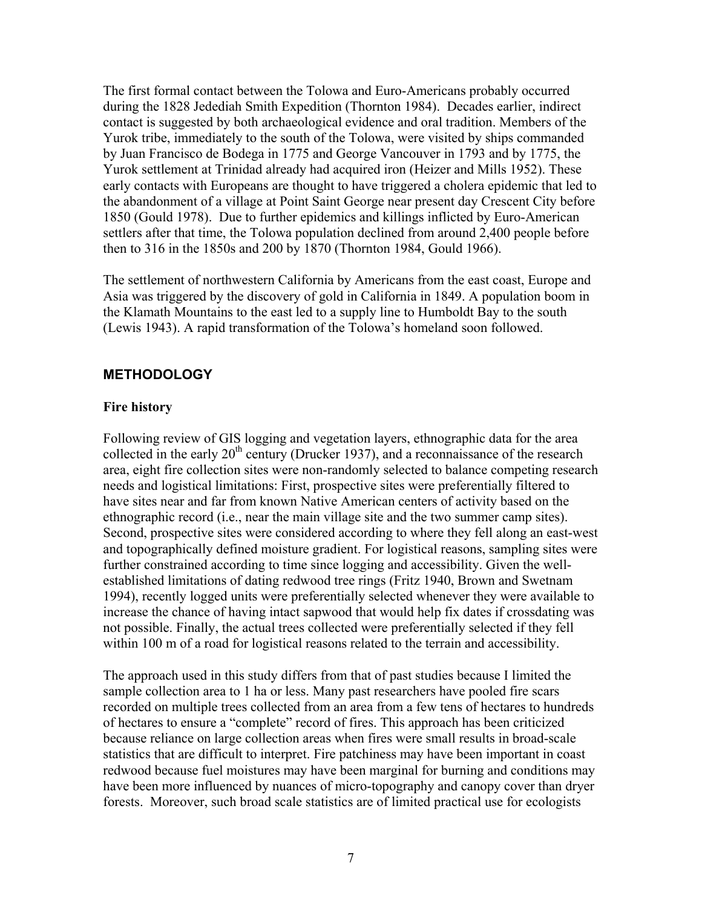The first formal contact between the Tolowa and Euro-Americans probably occurred during the 1828 Jedediah Smith Expedition (Thornton 1984). Decades earlier, indirect contact is suggested by both archaeological evidence and oral tradition. Members of the Yurok tribe, immediately to the south of the Tolowa, were visited by ships commanded by Juan Francisco de Bodega in 1775 and George Vancouver in 1793 and by 1775, the Yurok settlement at Trinidad already had acquired iron (Heizer and Mills 1952). These early contacts with Europeans are thought to have triggered a cholera epidemic that led to the abandonment of a village at Point Saint George near present day Crescent City before 1850 (Gould 1978). Due to further epidemics and killings inflicted by Euro-American settlers after that time, the Tolowa population declined from around 2,400 people before then to 316 in the 1850s and 200 by 1870 (Thornton 1984, Gould 1966).

The settlement of northwestern California by Americans from the east coast, Europe and Asia was triggered by the discovery of gold in California in 1849. A population boom in the Klamath Mountains to the east led to a supply line to Humboldt Bay to the south (Lewis 1943). A rapid transformation of the Tolowa's homeland soon followed.

## **METHODOLOGY**

#### **Fire history**

Following review of GIS logging and vegetation layers, ethnographic data for the area collected in the early  $20<sup>th</sup>$  century (Drucker 1937), and a reconnaissance of the research area, eight fire collection sites were non-randomly selected to balance competing research needs and logistical limitations: First, prospective sites were preferentially filtered to have sites near and far from known Native American centers of activity based on the ethnographic record (i.e., near the main village site and the two summer camp sites). Second, prospective sites were considered according to where they fell along an east-west and topographically defined moisture gradient. For logistical reasons, sampling sites were further constrained according to time since logging and accessibility. Given the wellestablished limitations of dating redwood tree rings (Fritz 1940, Brown and Swetnam 1994), recently logged units were preferentially selected whenever they were available to increase the chance of having intact sapwood that would help fix dates if crossdating was not possible. Finally, the actual trees collected were preferentially selected if they fell within 100 m of a road for logistical reasons related to the terrain and accessibility.

The approach used in this study differs from that of past studies because I limited the sample collection area to 1 ha or less. Many past researchers have pooled fire scars recorded on multiple trees collected from an area from a few tens of hectares to hundreds of hectares to ensure a "complete" record of fires. This approach has been criticized because reliance on large collection areas when fires were small results in broad-scale statistics that are difficult to interpret. Fire patchiness may have been important in coast redwood because fuel moistures may have been marginal for burning and conditions may have been more influenced by nuances of micro-topography and canopy cover than dryer forests. Moreover, such broad scale statistics are of limited practical use for ecologists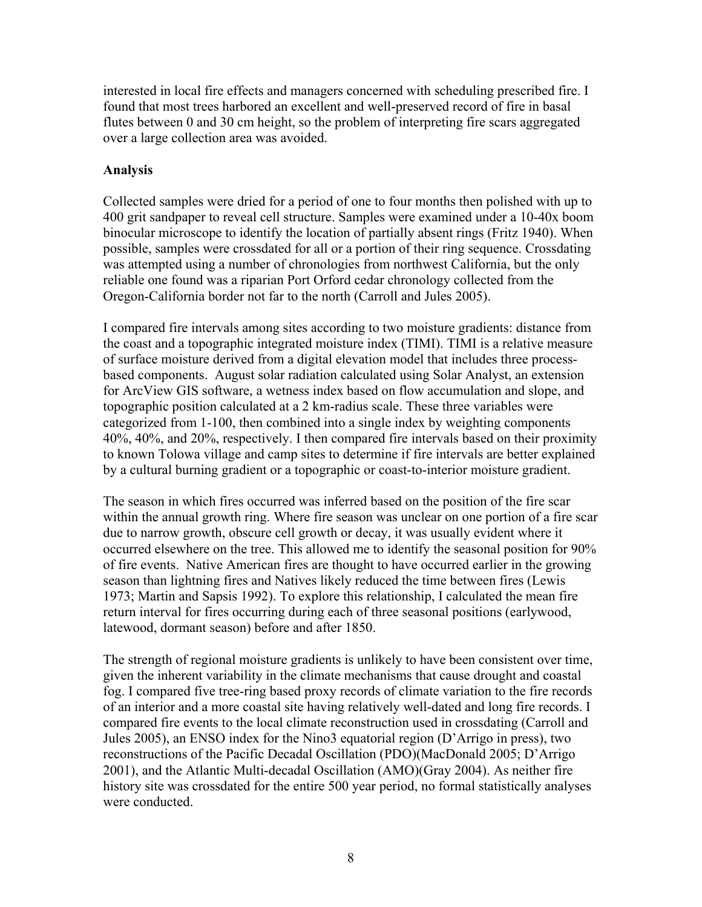interested in local fire effects and managers concerned with scheduling prescribed fire. I found that most trees harbored an excellent and well-preserved record of fire in basal flutes between 0 and 30 cm height, so the problem of interpreting fire scars aggregated over a large collection area was avoided.

### **Analysis**

Collected samples were dried for a period of one to four months then polished with up to 400 grit sandpaper to reveal cell structure. Samples were examined under a 10-40x boom binocular microscope to identify the location of partially absent rings (Fritz 1940). When possible, samples were crossdated for all or a portion of their ring sequence. Crossdating was attempted using a number of chronologies from northwest California, but the only reliable one found was a riparian Port Orford cedar chronology collected from the Oregon-California border not far to the north (Carroll and Jules 2005).

I compared fire intervals among sites according to two moisture gradients: distance from the coast and a topographic integrated moisture index (TIMI). TIMI is a relative measure of surface moisture derived from a digital elevation model that includes three processbased components. August solar radiation calculated using Solar Analyst, an extension for ArcView GIS software, a wetness index based on flow accumulation and slope, and topographic position calculated at a 2 km-radius scale. These three variables were categorized from 1-100, then combined into a single index by weighting components 40%, 40%, and 20%, respectively. I then compared fire intervals based on their proximity to known Tolowa village and camp sites to determine if fire intervals are better explained by a cultural burning gradient or a topographic or coast-to-interior moisture gradient.

The season in which fires occurred was inferred based on the position of the fire scar within the annual growth ring. Where fire season was unclear on one portion of a fire scar due to narrow growth, obscure cell growth or decay, it was usually evident where it occurred elsewhere on the tree. This allowed me to identify the seasonal position for 90% of fire events. Native American fires are thought to have occurred earlier in the growing season than lightning fires and Natives likely reduced the time between fires (Lewis 1973; Martin and Sapsis 1992). To explore this relationship, I calculated the mean fire return interval for fires occurring during each of three seasonal positions (earlywood, latewood, dormant season) before and after 1850.

The strength of regional moisture gradients is unlikely to have been consistent over time, given the inherent variability in the climate mechanisms that cause drought and coastal fog. I compared five tree-ring based proxy records of climate variation to the fire records of an interior and a more coastal site having relatively well-dated and long fire records. I compared fire events to the local climate reconstruction used in crossdating (Carroll and Jules 2005), an ENSO index for the Nino3 equatorial region (D'Arrigo in press), two reconstructions of the Pacific Decadal Oscillation (PDO)(MacDonald 2005; D'Arrigo 2001), and the Atlantic Multi-decadal Oscillation (AMO)(Gray 2004). As neither fire history site was crossdated for the entire 500 year period, no formal statistically analyses were conducted.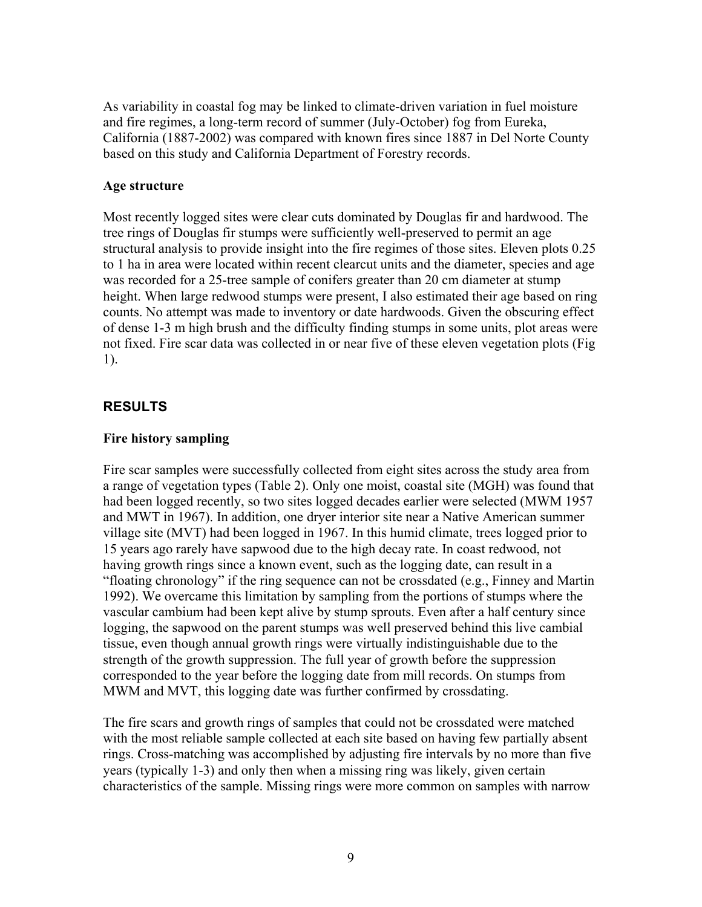As variability in coastal fog may be linked to climate-driven variation in fuel moisture and fire regimes, a long-term record of summer (July-October) fog from Eureka, California (1887-2002) was compared with known fires since 1887 in Del Norte County based on this study and California Department of Forestry records.

#### **Age structure**

Most recently logged sites were clear cuts dominated by Douglas fir and hardwood. The tree rings of Douglas fir stumps were sufficiently well-preserved to permit an age structural analysis to provide insight into the fire regimes of those sites. Eleven plots 0.25 to 1 ha in area were located within recent clearcut units and the diameter, species and age was recorded for a 25-tree sample of conifers greater than 20 cm diameter at stump height. When large redwood stumps were present, I also estimated their age based on ring counts. No attempt was made to inventory or date hardwoods. Given the obscuring effect of dense 1-3 m high brush and the difficulty finding stumps in some units, plot areas were not fixed. Fire scar data was collected in or near five of these eleven vegetation plots (Fig 1).

#### **RESULTS**

#### **Fire history sampling**

Fire scar samples were successfully collected from eight sites across the study area from a range of vegetation types (Table 2). Only one moist, coastal site (MGH) was found that had been logged recently, so two sites logged decades earlier were selected (MWM 1957 and MWT in 1967). In addition, one dryer interior site near a Native American summer village site (MVT) had been logged in 1967. In this humid climate, trees logged prior to 15 years ago rarely have sapwood due to the high decay rate. In coast redwood, not having growth rings since a known event, such as the logging date, can result in a "floating chronology" if the ring sequence can not be crossdated (e.g., Finney and Martin 1992). We overcame this limitation by sampling from the portions of stumps where the vascular cambium had been kept alive by stump sprouts. Even after a half century since logging, the sapwood on the parent stumps was well preserved behind this live cambial tissue, even though annual growth rings were virtually indistinguishable due to the strength of the growth suppression. The full year of growth before the suppression corresponded to the year before the logging date from mill records. On stumps from MWM and MVT, this logging date was further confirmed by crossdating.

The fire scars and growth rings of samples that could not be crossdated were matched with the most reliable sample collected at each site based on having few partially absent rings. Cross-matching was accomplished by adjusting fire intervals by no more than five years (typically 1-3) and only then when a missing ring was likely, given certain characteristics of the sample. Missing rings were more common on samples with narrow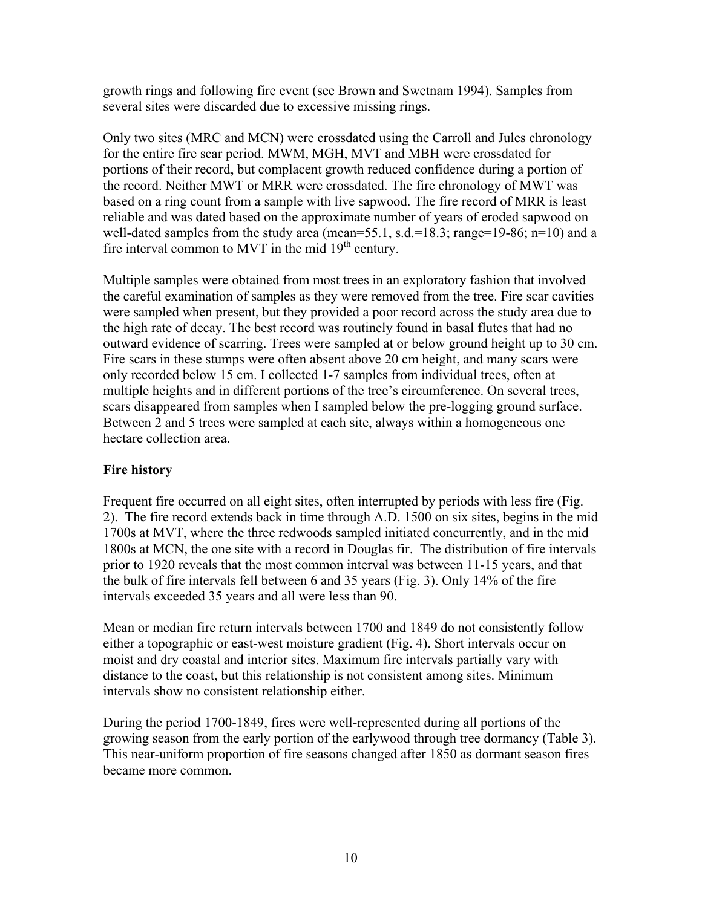growth rings and following fire event (see Brown and Swetnam 1994). Samples from several sites were discarded due to excessive missing rings.

Only two sites (MRC and MCN) were crossdated using the Carroll and Jules chronology for the entire fire scar period. MWM, MGH, MVT and MBH were crossdated for portions of their record, but complacent growth reduced confidence during a portion of the record. Neither MWT or MRR were crossdated. The fire chronology of MWT was based on a ring count from a sample with live sapwood. The fire record of MRR is least reliable and was dated based on the approximate number of years of eroded sapwood on well-dated samples from the study area (mean=55.1, s.d.=18.3; range=19-86; n=10) and a fire interval common to MVT in the mid  $19<sup>th</sup>$  century.

Multiple samples were obtained from most trees in an exploratory fashion that involved the careful examination of samples as they were removed from the tree. Fire scar cavities were sampled when present, but they provided a poor record across the study area due to the high rate of decay. The best record was routinely found in basal flutes that had no outward evidence of scarring. Trees were sampled at or below ground height up to 30 cm. Fire scars in these stumps were often absent above 20 cm height, and many scars were only recorded below 15 cm. I collected 1-7 samples from individual trees, often at multiple heights and in different portions of the tree's circumference. On several trees, scars disappeared from samples when I sampled below the pre-logging ground surface. Between 2 and 5 trees were sampled at each site, always within a homogeneous one hectare collection area.

## **Fire history**

Frequent fire occurred on all eight sites, often interrupted by periods with less fire (Fig. 2). The fire record extends back in time through A.D. 1500 on six sites, begins in the mid 1700s at MVT, where the three redwoods sampled initiated concurrently, and in the mid 1800s at MCN, the one site with a record in Douglas fir. The distribution of fire intervals prior to 1920 reveals that the most common interval was between 11-15 years, and that the bulk of fire intervals fell between 6 and 35 years (Fig. 3). Only 14% of the fire intervals exceeded 35 years and all were less than 90.

Mean or median fire return intervals between 1700 and 1849 do not consistently follow either a topographic or east-west moisture gradient (Fig. 4). Short intervals occur on moist and dry coastal and interior sites. Maximum fire intervals partially vary with distance to the coast, but this relationship is not consistent among sites. Minimum intervals show no consistent relationship either.

During the period 1700-1849, fires were well-represented during all portions of the growing season from the early portion of the earlywood through tree dormancy (Table 3). This near-uniform proportion of fire seasons changed after 1850 as dormant season fires became more common.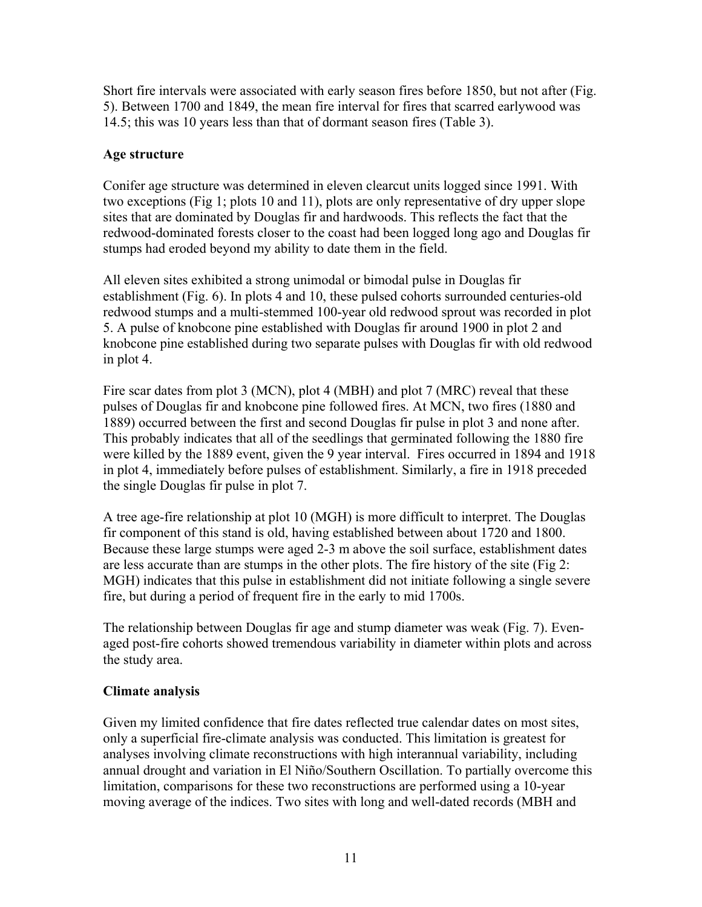Short fire intervals were associated with early season fires before 1850, but not after (Fig. 5). Between 1700 and 1849, the mean fire interval for fires that scarred earlywood was 14.5; this was 10 years less than that of dormant season fires (Table 3).

### **Age structure**

Conifer age structure was determined in eleven clearcut units logged since 1991. With two exceptions (Fig 1; plots 10 and 11), plots are only representative of dry upper slope sites that are dominated by Douglas fir and hardwoods. This reflects the fact that the redwood-dominated forests closer to the coast had been logged long ago and Douglas fir stumps had eroded beyond my ability to date them in the field.

All eleven sites exhibited a strong unimodal or bimodal pulse in Douglas fir establishment (Fig. 6). In plots 4 and 10, these pulsed cohorts surrounded centuries-old redwood stumps and a multi-stemmed 100-year old redwood sprout was recorded in plot 5. A pulse of knobcone pine established with Douglas fir around 1900 in plot 2 and knobcone pine established during two separate pulses with Douglas fir with old redwood in plot 4.

Fire scar dates from plot 3 (MCN), plot 4 (MBH) and plot 7 (MRC) reveal that these pulses of Douglas fir and knobcone pine followed fires. At MCN, two fires (1880 and 1889) occurred between the first and second Douglas fir pulse in plot 3 and none after. This probably indicates that all of the seedlings that germinated following the 1880 fire were killed by the 1889 event, given the 9 year interval. Fires occurred in 1894 and 1918 in plot 4, immediately before pulses of establishment. Similarly, a fire in 1918 preceded the single Douglas fir pulse in plot 7.

A tree age-fire relationship at plot 10 (MGH) is more difficult to interpret. The Douglas fir component of this stand is old, having established between about 1720 and 1800. Because these large stumps were aged 2-3 m above the soil surface, establishment dates are less accurate than are stumps in the other plots. The fire history of the site (Fig 2: MGH) indicates that this pulse in establishment did not initiate following a single severe fire, but during a period of frequent fire in the early to mid 1700s.

The relationship between Douglas fir age and stump diameter was weak (Fig. 7). Evenaged post-fire cohorts showed tremendous variability in diameter within plots and across the study area.

## **Climate analysis**

Given my limited confidence that fire dates reflected true calendar dates on most sites, only a superficial fire-climate analysis was conducted. This limitation is greatest for analyses involving climate reconstructions with high interannual variability, including annual drought and variation in El Niño/Southern Oscillation. To partially overcome this limitation, comparisons for these two reconstructions are performed using a 10-year moving average of the indices. Two sites with long and well-dated records (MBH and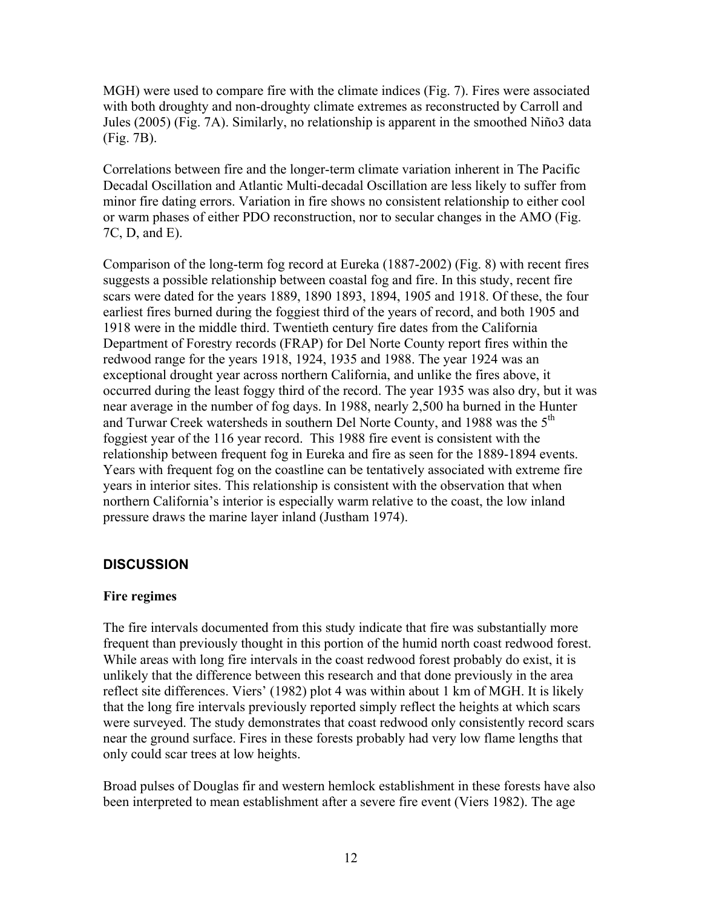MGH) were used to compare fire with the climate indices (Fig. 7). Fires were associated with both droughty and non-droughty climate extremes as reconstructed by Carroll and Jules (2005) (Fig. 7A). Similarly, no relationship is apparent in the smoothed Niño3 data (Fig. 7B).

Correlations between fire and the longer-term climate variation inherent in The Pacific Decadal Oscillation and Atlantic Multi-decadal Oscillation are less likely to suffer from minor fire dating errors. Variation in fire shows no consistent relationship to either cool or warm phases of either PDO reconstruction, nor to secular changes in the AMO (Fig. 7C, D, and E).

Comparison of the long-term fog record at Eureka (1887-2002) (Fig. 8) with recent fires suggests a possible relationship between coastal fog and fire. In this study, recent fire scars were dated for the years 1889, 1890 1893, 1894, 1905 and 1918. Of these, the four earliest fires burned during the foggiest third of the years of record, and both 1905 and 1918 were in the middle third. Twentieth century fire dates from the California Department of Forestry records (FRAP) for Del Norte County report fires within the redwood range for the years 1918, 1924, 1935 and 1988. The year 1924 was an exceptional drought year across northern California, and unlike the fires above, it occurred during the least foggy third of the record. The year 1935 was also dry, but it was near average in the number of fog days. In 1988, nearly 2,500 ha burned in the Hunter and Turwar Creek watersheds in southern Del Norte County, and 1988 was the 5<sup>th</sup> foggiest year of the 116 year record. This 1988 fire event is consistent with the relationship between frequent fog in Eureka and fire as seen for the 1889-1894 events. Years with frequent fog on the coastline can be tentatively associated with extreme fire years in interior sites. This relationship is consistent with the observation that when northern California's interior is especially warm relative to the coast, the low inland pressure draws the marine layer inland (Justham 1974).

## **DISCUSSION**

#### **Fire regimes**

The fire intervals documented from this study indicate that fire was substantially more frequent than previously thought in this portion of the humid north coast redwood forest. While areas with long fire intervals in the coast redwood forest probably do exist, it is unlikely that the difference between this research and that done previously in the area reflect site differences. Viers' (1982) plot 4 was within about 1 km of MGH. It is likely that the long fire intervals previously reported simply reflect the heights at which scars were surveyed. The study demonstrates that coast redwood only consistently record scars near the ground surface. Fires in these forests probably had very low flame lengths that only could scar trees at low heights.

Broad pulses of Douglas fir and western hemlock establishment in these forests have also been interpreted to mean establishment after a severe fire event (Viers 1982). The age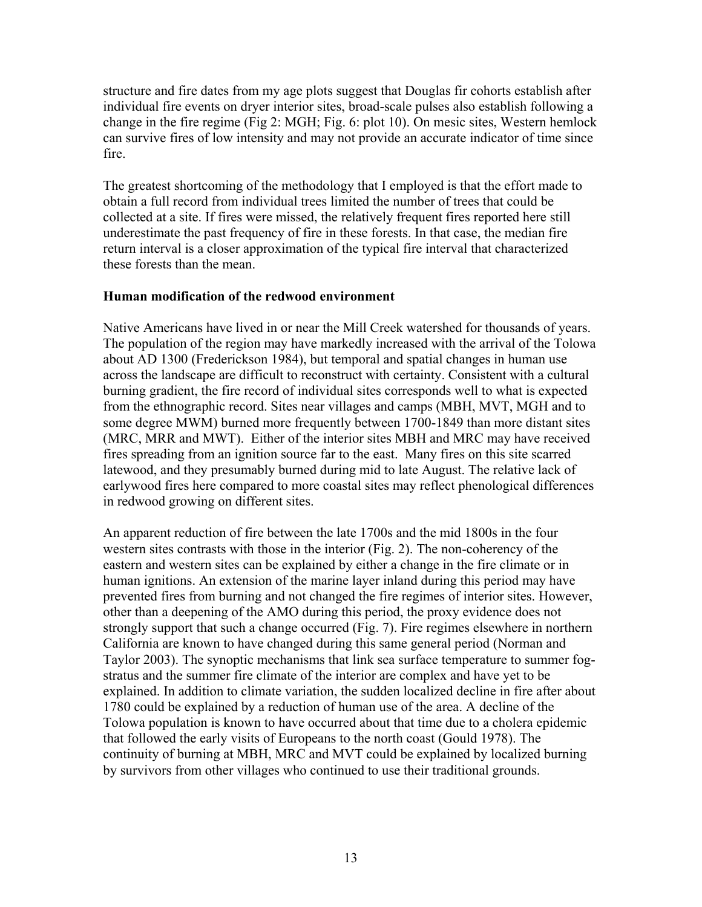structure and fire dates from my age plots suggest that Douglas fir cohorts establish after individual fire events on dryer interior sites, broad-scale pulses also establish following a change in the fire regime (Fig 2: MGH; Fig. 6: plot 10). On mesic sites, Western hemlock can survive fires of low intensity and may not provide an accurate indicator of time since fire.

The greatest shortcoming of the methodology that I employed is that the effort made to obtain a full record from individual trees limited the number of trees that could be collected at a site. If fires were missed, the relatively frequent fires reported here still underestimate the past frequency of fire in these forests. In that case, the median fire return interval is a closer approximation of the typical fire interval that characterized these forests than the mean.

#### **Human modification of the redwood environment**

Native Americans have lived in or near the Mill Creek watershed for thousands of years. The population of the region may have markedly increased with the arrival of the Tolowa about AD 1300 (Frederickson 1984), but temporal and spatial changes in human use across the landscape are difficult to reconstruct with certainty. Consistent with a cultural burning gradient, the fire record of individual sites corresponds well to what is expected from the ethnographic record. Sites near villages and camps (MBH, MVT, MGH and to some degree MWM) burned more frequently between 1700-1849 than more distant sites (MRC, MRR and MWT). Either of the interior sites MBH and MRC may have received fires spreading from an ignition source far to the east. Many fires on this site scarred latewood, and they presumably burned during mid to late August. The relative lack of earlywood fires here compared to more coastal sites may reflect phenological differences in redwood growing on different sites.

An apparent reduction of fire between the late 1700s and the mid 1800s in the four western sites contrasts with those in the interior (Fig. 2). The non-coherency of the eastern and western sites can be explained by either a change in the fire climate or in human ignitions. An extension of the marine layer inland during this period may have prevented fires from burning and not changed the fire regimes of interior sites. However, other than a deepening of the AMO during this period, the proxy evidence does not strongly support that such a change occurred (Fig. 7). Fire regimes elsewhere in northern California are known to have changed during this same general period (Norman and Taylor 2003). The synoptic mechanisms that link sea surface temperature to summer fogstratus and the summer fire climate of the interior are complex and have yet to be explained. In addition to climate variation, the sudden localized decline in fire after about 1780 could be explained by a reduction of human use of the area. A decline of the Tolowa population is known to have occurred about that time due to a cholera epidemic that followed the early visits of Europeans to the north coast (Gould 1978). The continuity of burning at MBH, MRC and MVT could be explained by localized burning by survivors from other villages who continued to use their traditional grounds.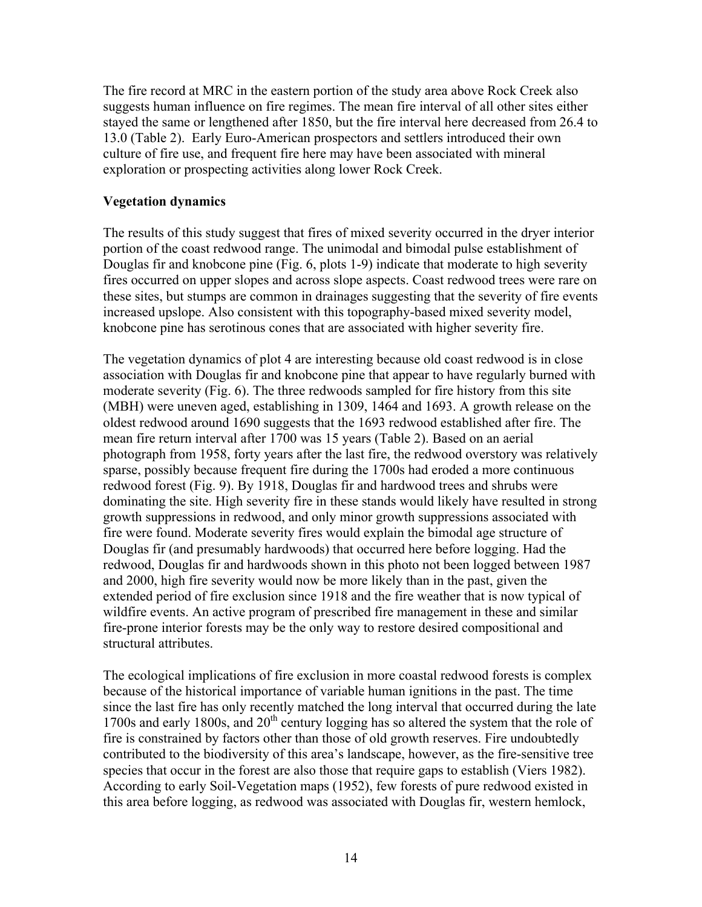The fire record at MRC in the eastern portion of the study area above Rock Creek also suggests human influence on fire regimes. The mean fire interval of all other sites either stayed the same or lengthened after 1850, but the fire interval here decreased from 26.4 to 13.0 (Table 2). Early Euro-American prospectors and settlers introduced their own culture of fire use, and frequent fire here may have been associated with mineral exploration or prospecting activities along lower Rock Creek.

## **Vegetation dynamics**

The results of this study suggest that fires of mixed severity occurred in the dryer interior portion of the coast redwood range. The unimodal and bimodal pulse establishment of Douglas fir and knobcone pine (Fig. 6, plots 1-9) indicate that moderate to high severity fires occurred on upper slopes and across slope aspects. Coast redwood trees were rare on these sites, but stumps are common in drainages suggesting that the severity of fire events increased upslope. Also consistent with this topography-based mixed severity model, knobcone pine has serotinous cones that are associated with higher severity fire.

The vegetation dynamics of plot 4 are interesting because old coast redwood is in close association with Douglas fir and knobcone pine that appear to have regularly burned with moderate severity (Fig. 6). The three redwoods sampled for fire history from this site (MBH) were uneven aged, establishing in 1309, 1464 and 1693. A growth release on the oldest redwood around 1690 suggests that the 1693 redwood established after fire. The mean fire return interval after 1700 was 15 years (Table 2). Based on an aerial photograph from 1958, forty years after the last fire, the redwood overstory was relatively sparse, possibly because frequent fire during the 1700s had eroded a more continuous redwood forest (Fig. 9). By 1918, Douglas fir and hardwood trees and shrubs were dominating the site. High severity fire in these stands would likely have resulted in strong growth suppressions in redwood, and only minor growth suppressions associated with fire were found. Moderate severity fires would explain the bimodal age structure of Douglas fir (and presumably hardwoods) that occurred here before logging. Had the redwood, Douglas fir and hardwoods shown in this photo not been logged between 1987 and 2000, high fire severity would now be more likely than in the past, given the extended period of fire exclusion since 1918 and the fire weather that is now typical of wildfire events. An active program of prescribed fire management in these and similar fire-prone interior forests may be the only way to restore desired compositional and structural attributes.

The ecological implications of fire exclusion in more coastal redwood forests is complex because of the historical importance of variable human ignitions in the past. The time since the last fire has only recently matched the long interval that occurred during the late 1700s and early 1800s, and 20<sup>th</sup> century logging has so altered the system that the role of fire is constrained by factors other than those of old growth reserves. Fire undoubtedly contributed to the biodiversity of this area's landscape, however, as the fire-sensitive tree species that occur in the forest are also those that require gaps to establish (Viers 1982). According to early Soil-Vegetation maps (1952), few forests of pure redwood existed in this area before logging, as redwood was associated with Douglas fir, western hemlock,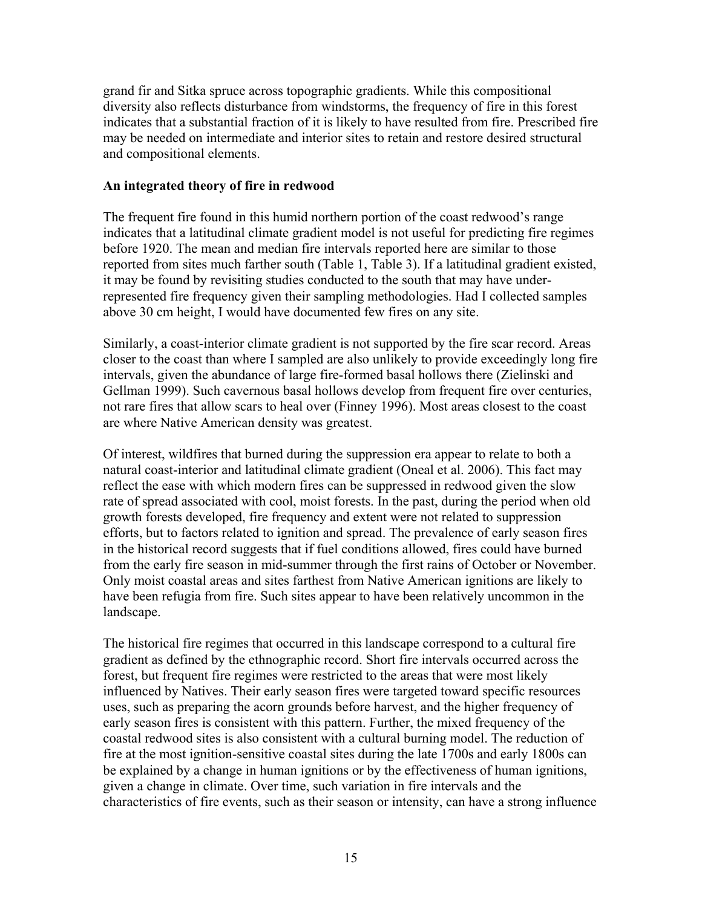grand fir and Sitka spruce across topographic gradients. While this compositional diversity also reflects disturbance from windstorms, the frequency of fire in this forest indicates that a substantial fraction of it is likely to have resulted from fire. Prescribed fire may be needed on intermediate and interior sites to retain and restore desired structural and compositional elements.

#### **An integrated theory of fire in redwood**

The frequent fire found in this humid northern portion of the coast redwood's range indicates that a latitudinal climate gradient model is not useful for predicting fire regimes before 1920. The mean and median fire intervals reported here are similar to those reported from sites much farther south (Table 1, Table 3). If a latitudinal gradient existed, it may be found by revisiting studies conducted to the south that may have underrepresented fire frequency given their sampling methodologies. Had I collected samples above 30 cm height, I would have documented few fires on any site.

Similarly, a coast-interior climate gradient is not supported by the fire scar record. Areas closer to the coast than where I sampled are also unlikely to provide exceedingly long fire intervals, given the abundance of large fire-formed basal hollows there (Zielinski and Gellman 1999). Such cavernous basal hollows develop from frequent fire over centuries, not rare fires that allow scars to heal over (Finney 1996). Most areas closest to the coast are where Native American density was greatest.

Of interest, wildfires that burned during the suppression era appear to relate to both a natural coast-interior and latitudinal climate gradient (Oneal et al. 2006). This fact may reflect the ease with which modern fires can be suppressed in redwood given the slow rate of spread associated with cool, moist forests. In the past, during the period when old growth forests developed, fire frequency and extent were not related to suppression efforts, but to factors related to ignition and spread. The prevalence of early season fires in the historical record suggests that if fuel conditions allowed, fires could have burned from the early fire season in mid-summer through the first rains of October or November. Only moist coastal areas and sites farthest from Native American ignitions are likely to have been refugia from fire. Such sites appear to have been relatively uncommon in the landscape.

The historical fire regimes that occurred in this landscape correspond to a cultural fire gradient as defined by the ethnographic record. Short fire intervals occurred across the forest, but frequent fire regimes were restricted to the areas that were most likely influenced by Natives. Their early season fires were targeted toward specific resources uses, such as preparing the acorn grounds before harvest, and the higher frequency of early season fires is consistent with this pattern. Further, the mixed frequency of the coastal redwood sites is also consistent with a cultural burning model. The reduction of fire at the most ignition-sensitive coastal sites during the late 1700s and early 1800s can be explained by a change in human ignitions or by the effectiveness of human ignitions, given a change in climate. Over time, such variation in fire intervals and the characteristics of fire events, such as their season or intensity, can have a strong influence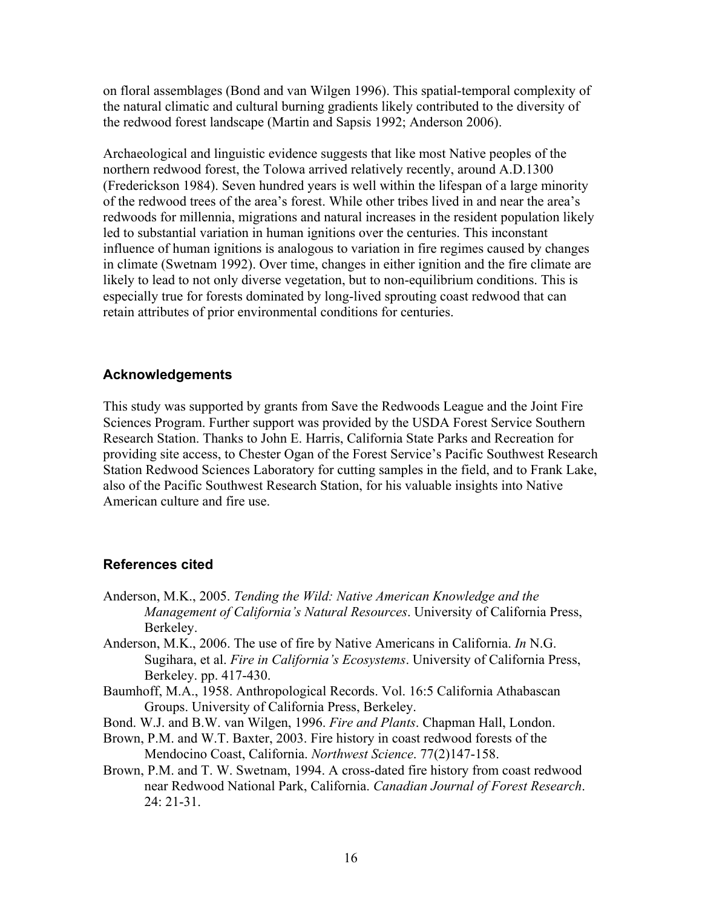on floral assemblages (Bond and van Wilgen 1996). This spatial-temporal complexity of the natural climatic and cultural burning gradients likely contributed to the diversity of the redwood forest landscape (Martin and Sapsis 1992; Anderson 2006).

Archaeological and linguistic evidence suggests that like most Native peoples of the northern redwood forest, the Tolowa arrived relatively recently, around A.D.1300 (Frederickson 1984). Seven hundred years is well within the lifespan of a large minority of the redwood trees of the area's forest. While other tribes lived in and near the area's redwoods for millennia, migrations and natural increases in the resident population likely led to substantial variation in human ignitions over the centuries. This inconstant influence of human ignitions is analogous to variation in fire regimes caused by changes in climate (Swetnam 1992). Over time, changes in either ignition and the fire climate are likely to lead to not only diverse vegetation, but to non-equilibrium conditions. This is especially true for forests dominated by long-lived sprouting coast redwood that can retain attributes of prior environmental conditions for centuries.

#### **Acknowledgements**

This study was supported by grants from Save the Redwoods League and the Joint Fire Sciences Program. Further support was provided by the USDA Forest Service Southern Research Station. Thanks to John E. Harris, California State Parks and Recreation for providing site access, to Chester Ogan of the Forest Service's Pacific Southwest Research Station Redwood Sciences Laboratory for cutting samples in the field, and to Frank Lake, also of the Pacific Southwest Research Station, for his valuable insights into Native American culture and fire use.

## **References cited**

- Anderson, M.K., 2005. *Tending the Wild: Native American Knowledge and the Management of California's Natural Resources*. University of California Press, Berkeley.
- Anderson, M.K., 2006. The use of fire by Native Americans in California. *In* N.G. Sugihara, et al. *Fire in California's Ecosystems*. University of California Press, Berkeley. pp. 417-430.
- Baumhoff, M.A., 1958. Anthropological Records. Vol. 16:5 California Athabascan Groups. University of California Press, Berkeley.
- Bond. W.J. and B.W. van Wilgen, 1996. *Fire and Plants*. Chapman Hall, London.
- Brown, P.M. and W.T. Baxter, 2003. Fire history in coast redwood forests of the Mendocino Coast, California. *Northwest Science*. 77(2)147-158.
- Brown, P.M. and T. W. Swetnam, 1994. A cross-dated fire history from coast redwood near Redwood National Park, California. *Canadian Journal of Forest Research*. 24: 21-31.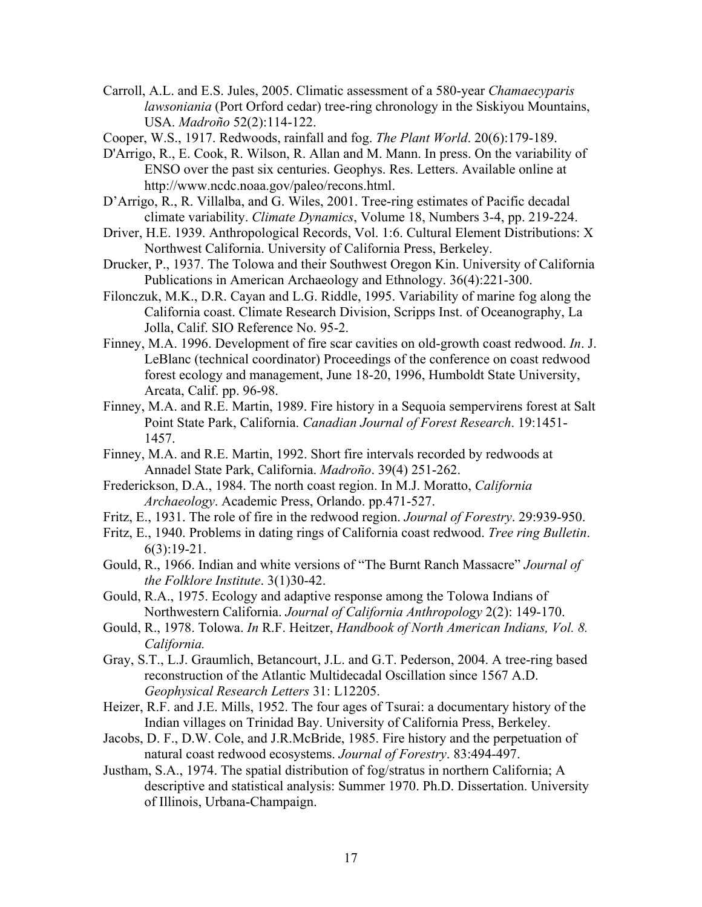Carroll, A.L. and E.S. Jules, 2005. Climatic assessment of a 580-year *Chamaecyparis lawsoniania* (Port Orford cedar) tree-ring chronology in the Siskiyou Mountains, USA. *Madroño* 52(2):114-122.

Cooper, W.S., 1917. Redwoods, rainfall and fog. *The Plant World*. 20(6):179-189.

- D'Arrigo, R., E. Cook, R. Wilson, R. Allan and M. Mann. In press. On the variability of ENSO over the past six centuries. Geophys. Res. Letters. Available online at http://www.ncdc.noaa.gov/paleo/recons.html.
- D'Arrigo, R., R. Villalba, and G. Wiles, 2001. Tree-ring estimates of Pacific decadal climate variability. *Climate Dynamics*, Volume 18, Numbers 3-4, pp. 219-224.
- Driver, H.E. 1939. Anthropological Records, Vol. 1:6. Cultural Element Distributions: X Northwest California. University of California Press, Berkeley.
- Drucker, P., 1937. The Tolowa and their Southwest Oregon Kin. University of California Publications in American Archaeology and Ethnology. 36(4):221-300.
- Filonczuk, M.K., D.R. Cayan and L.G. Riddle, 1995. Variability of marine fog along the California coast. Climate Research Division, Scripps Inst. of Oceanography, La Jolla, Calif. SIO Reference No. 95-2.
- Finney, M.A. 1996. Development of fire scar cavities on old-growth coast redwood. *In*. J. LeBlanc (technical coordinator) Proceedings of the conference on coast redwood forest ecology and management, June 18-20, 1996, Humboldt State University, Arcata, Calif. pp. 96-98.
- Finney, M.A. and R.E. Martin, 1989. Fire history in a Sequoia sempervirens forest at Salt Point State Park, California. *Canadian Journal of Forest Research*. 19:1451- 1457.
- Finney, M.A. and R.E. Martin, 1992. Short fire intervals recorded by redwoods at Annadel State Park, California. *Madroño*. 39(4) 251-262.
- Frederickson, D.A., 1984. The north coast region. In M.J. Moratto, *California Archaeology*. Academic Press, Orlando. pp.471-527.
- Fritz, E., 1931. The role of fire in the redwood region. *Journal of Forestry*. 29:939-950.
- Fritz, E., 1940. Problems in dating rings of California coast redwood. *Tree ring Bulletin*.  $6(3):19-21.$
- Gould, R., 1966. Indian and white versions of "The Burnt Ranch Massacre" *Journal of the Folklore Institute*. 3(1)30-42.
- Gould, R.A., 1975. Ecology and adaptive response among the Tolowa Indians of Northwestern California. *Journal of California Anthropology* 2(2): 149-170.
- Gould, R., 1978. Tolowa. *In* R.F. Heitzer, *Handbook of North American Indians, Vol. 8. California.*
- Gray, S.T., L.J. Graumlich, Betancourt, J.L. and G.T. Pederson, 2004. A tree-ring based reconstruction of the Atlantic Multidecadal Oscillation since 1567 A.D. *Geophysical Research Letters* 31: L12205.
- Heizer, R.F. and J.E. Mills, 1952. The four ages of Tsurai: a documentary history of the Indian villages on Trinidad Bay. University of California Press, Berkeley.
- Jacobs, D. F., D.W. Cole, and J.R.McBride, 1985. Fire history and the perpetuation of natural coast redwood ecosystems. *Journal of Forestry*. 83:494-497.
- Justham, S.A., 1974. The spatial distribution of fog/stratus in northern California; A descriptive and statistical analysis: Summer 1970. Ph.D. Dissertation. University of Illinois, Urbana-Champaign.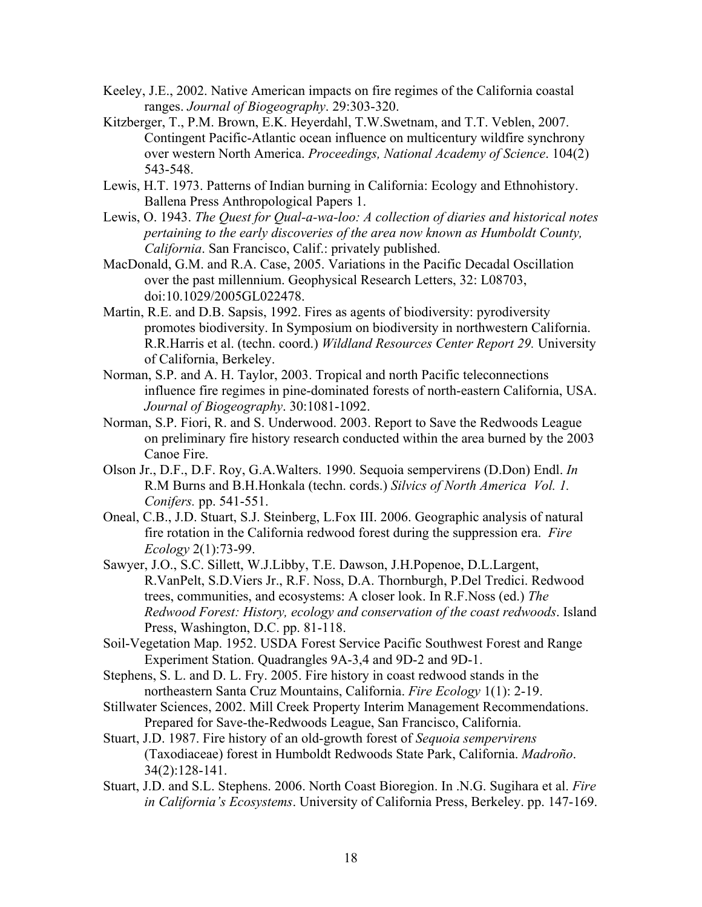- Keeley, J.E., 2002. Native American impacts on fire regimes of the California coastal ranges. *Journal of Biogeography*. 29:303-320.
- Kitzberger, T., P.M. Brown, E.K. Heyerdahl, T.W.Swetnam, and T.T. Veblen, 2007. Contingent Pacific-Atlantic ocean influence on multicentury wildfire synchrony over western North America. *Proceedings, National Academy of Science*. 104(2) 543-548.
- Lewis, H.T. 1973. Patterns of Indian burning in California: Ecology and Ethnohistory. Ballena Press Anthropological Papers 1.
- Lewis, O. 1943. *The Quest for Qual-a-wa-loo: A collection of diaries and historical notes pertaining to the early discoveries of the area now known as Humboldt County, California*. San Francisco, Calif.: privately published.
- MacDonald, G.M. and R.A. Case, 2005. Variations in the Pacific Decadal Oscillation over the past millennium. Geophysical Research Letters, 32: L08703, doi:10.1029/2005GL022478.
- Martin, R.E. and D.B. Sapsis, 1992. Fires as agents of biodiversity: pyrodiversity promotes biodiversity. In Symposium on biodiversity in northwestern California. R.R.Harris et al. (techn. coord.) *Wildland Resources Center Report 29.* University of California, Berkeley.
- Norman, S.P. and A. H. Taylor, 2003. Tropical and north Pacific teleconnections influence fire regimes in pine-dominated forests of north-eastern California, USA. *Journal of Biogeography*. 30:1081-1092.
- Norman, S.P. Fiori, R. and S. Underwood. 2003. Report to Save the Redwoods League on preliminary fire history research conducted within the area burned by the 2003 Canoe Fire.
- Olson Jr., D.F., D.F. Roy, G.A.Walters. 1990. Sequoia sempervirens (D.Don) Endl. *In* R.M Burns and B.H.Honkala (techn. cords.) *Silvics of North America Vol. 1. Conifers.* pp. 541-551.
- Oneal, C.B., J.D. Stuart, S.J. Steinberg, L.Fox III. 2006. Geographic analysis of natural fire rotation in the California redwood forest during the suppression era. *Fire Ecology* 2(1):73-99.
- Sawyer, J.O., S.C. Sillett, W.J.Libby, T.E. Dawson, J.H.Popenoe, D.L.Largent, R.VanPelt, S.D.Viers Jr., R.F. Noss, D.A. Thornburgh, P.Del Tredici. Redwood trees, communities, and ecosystems: A closer look. In R.F.Noss (ed.) *The Redwood Forest: History, ecology and conservation of the coast redwoods*. Island Press, Washington, D.C. pp. 81-118.
- Soil-Vegetation Map. 1952. USDA Forest Service Pacific Southwest Forest and Range Experiment Station. Quadrangles 9A-3,4 and 9D-2 and 9D-1.
- Stephens, S. L. and D. L. Fry. 2005. Fire history in coast redwood stands in the northeastern Santa Cruz Mountains, California. *Fire Ecology* 1(1): 2-19.
- Stillwater Sciences, 2002. Mill Creek Property Interim Management Recommendations. Prepared for Save-the-Redwoods League, San Francisco, California.
- Stuart, J.D. 1987. Fire history of an old-growth forest of *Sequoia sempervirens* (Taxodiaceae) forest in Humboldt Redwoods State Park, California. *Madroño*. 34(2):128-141.
- Stuart, J.D. and S.L. Stephens. 2006. North Coast Bioregion. In .N.G. Sugihara et al. *Fire in California's Ecosystems*. University of California Press, Berkeley. pp. 147-169.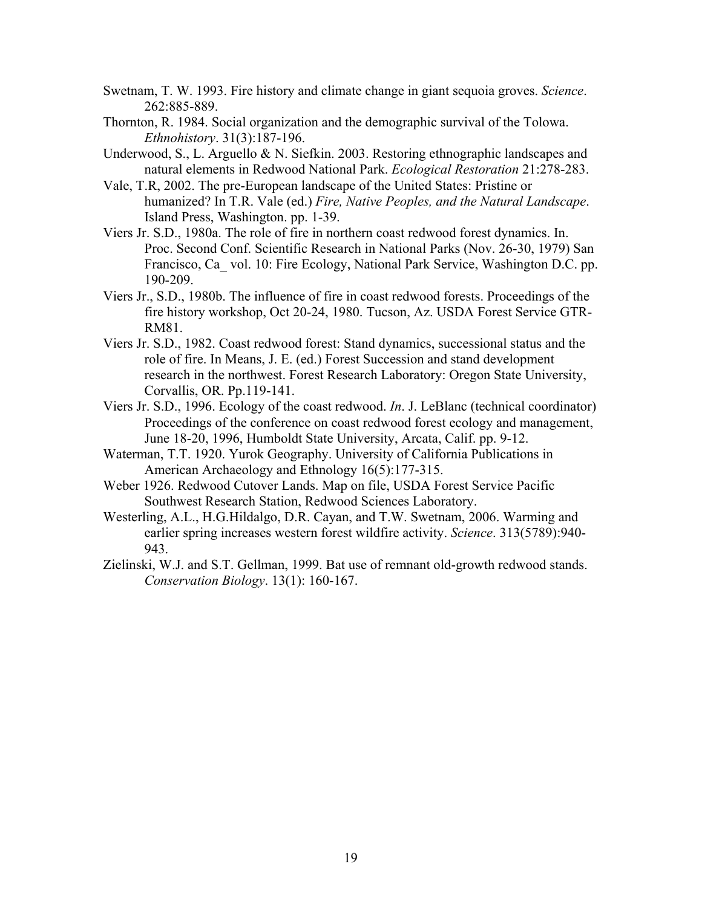- Swetnam, T. W. 1993. Fire history and climate change in giant sequoia groves. *Science*. 262:885-889.
- Thornton, R. 1984. Social organization and the demographic survival of the Tolowa. *Ethnohistory*. 31(3):187-196.
- Underwood, S., L. Arguello & N. Siefkin. 2003. Restoring ethnographic landscapes and natural elements in Redwood National Park. *Ecological Restoration* 21:278-283.
- Vale, T.R, 2002. The pre-European landscape of the United States: Pristine or humanized? In T.R. Vale (ed.) *Fire, Native Peoples, and the Natural Landscape*. Island Press, Washington. pp. 1-39.
- Viers Jr. S.D., 1980a. The role of fire in northern coast redwood forest dynamics. In. Proc. Second Conf. Scientific Research in National Parks (Nov. 26-30, 1979) San Francisco, Ca\_ vol. 10: Fire Ecology, National Park Service, Washington D.C. pp. 190-209.
- Viers Jr., S.D., 1980b. The influence of fire in coast redwood forests. Proceedings of the fire history workshop, Oct 20-24, 1980. Tucson, Az. USDA Forest Service GTR-RM81.
- Viers Jr. S.D., 1982. Coast redwood forest: Stand dynamics, successional status and the role of fire. In Means, J. E. (ed.) Forest Succession and stand development research in the northwest. Forest Research Laboratory: Oregon State University, Corvallis, OR. Pp.119-141.
- Viers Jr. S.D., 1996. Ecology of the coast redwood. *In*. J. LeBlanc (technical coordinator) Proceedings of the conference on coast redwood forest ecology and management, June 18-20, 1996, Humboldt State University, Arcata, Calif. pp. 9-12.
- Waterman, T.T. 1920. Yurok Geography. University of California Publications in American Archaeology and Ethnology 16(5):177-315.
- Weber 1926. Redwood Cutover Lands. Map on file, USDA Forest Service Pacific Southwest Research Station, Redwood Sciences Laboratory.
- Westerling, A.L., H.G.Hildalgo, D.R. Cayan, and T.W. Swetnam, 2006. Warming and earlier spring increases western forest wildfire activity. *Science*. 313(5789):940- 943.
- Zielinski, W.J. and S.T. Gellman, 1999. Bat use of remnant old-growth redwood stands. *Conservation Biology*. 13(1): 160-167.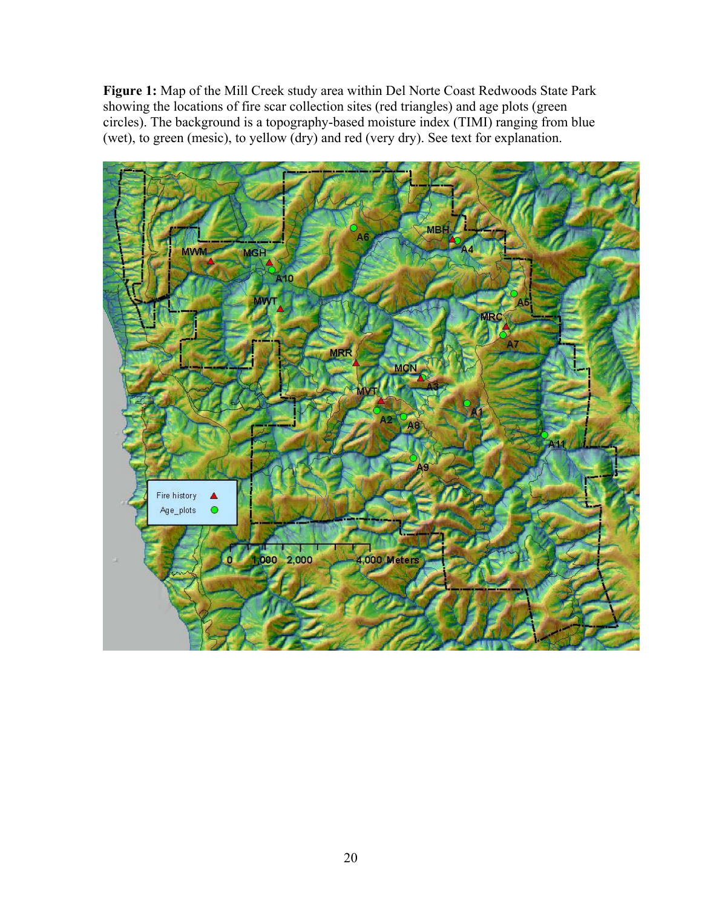**Figure 1:** Map of the Mill Creek study area within Del Norte Coast Redwoods State Park showing the locations of fire scar collection sites (red triangles) and age plots (green circles). The background is a topography-based moisture index (TIMI) ranging from blue (wet), to green (mesic), to yellow (dry) and red (very dry). See text for explanation.

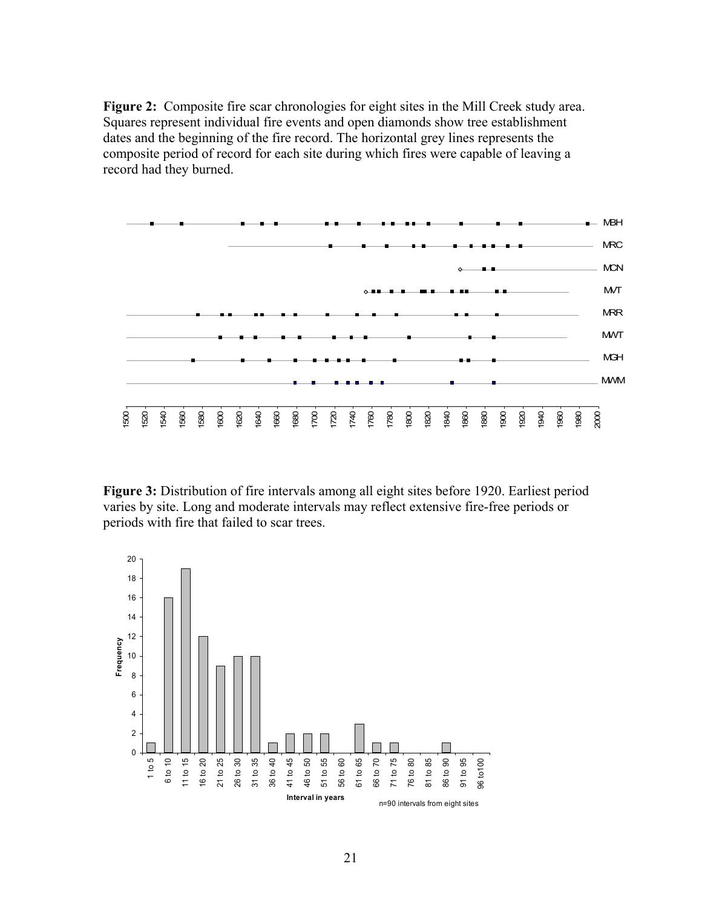**Figure 2:** Composite fire scar chronologies for eight sites in the Mill Creek study area. Squares represent individual fire events and open diamonds show tree establishment dates and the beginning of the fire record. The horizontal grey lines represents the composite period of record for each site during which fires were capable of leaving a record had they burned.



**Figure 3:** Distribution of fire intervals among all eight sites before 1920. Earliest period varies by site. Long and moderate intervals may reflect extensive fire-free periods or periods with fire that failed to scar trees.

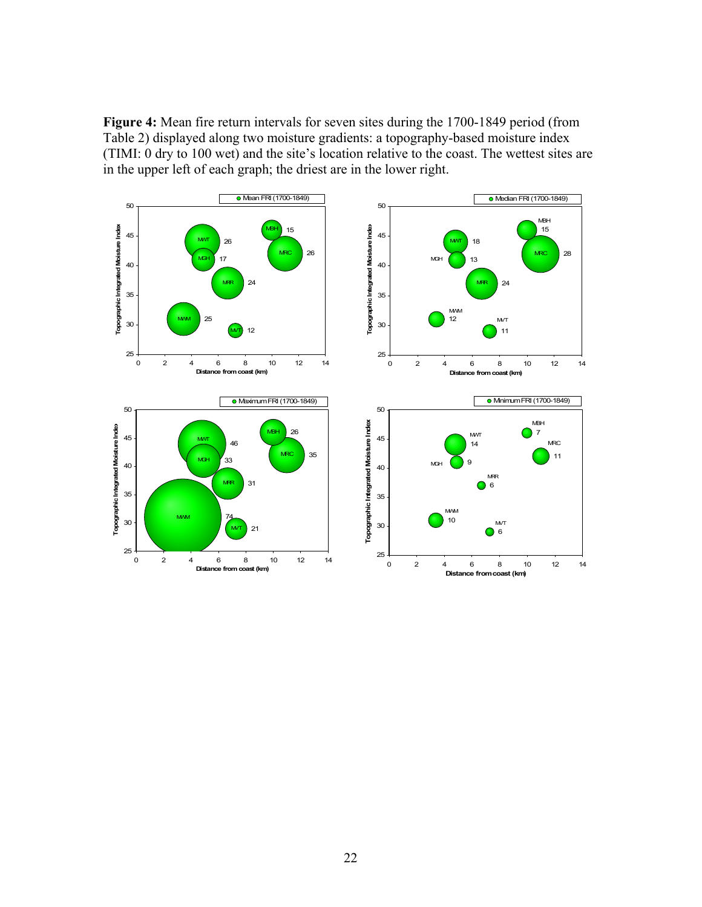**Figure 4:** Mean fire return intervals for seven sites during the 1700-1849 period (from Table 2) displayed along two moisture gradients: a topography-based moisture index (TIMI: 0 dry to 100 wet) and the site's location relative to the coast. The wettest sites are in the upper left of each graph; the driest are in the lower right.

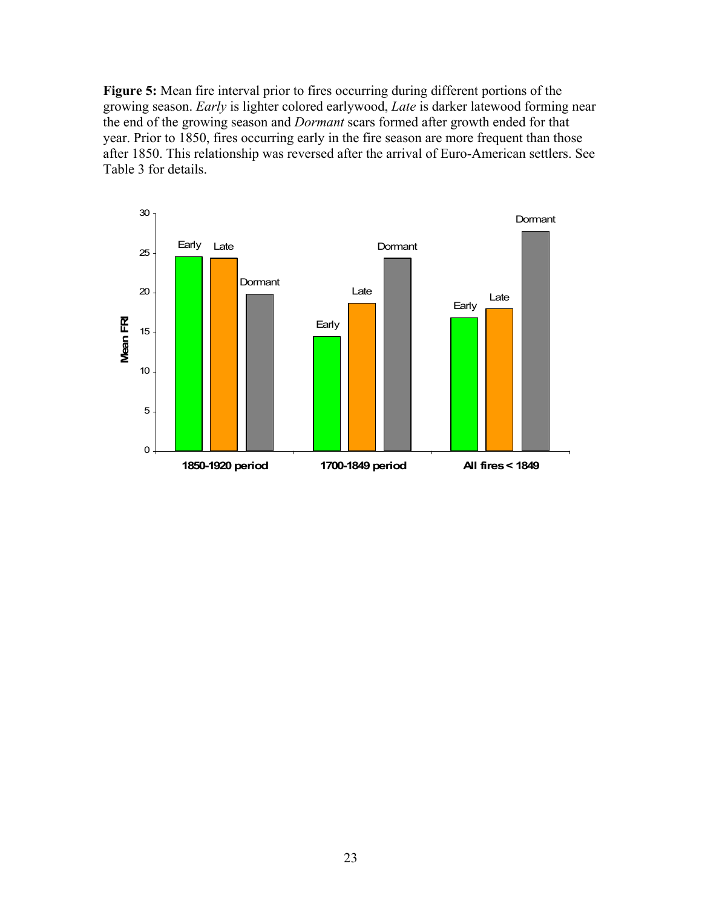**Figure 5:** Mean fire interval prior to fires occurring during different portions of the growing season. *Early* is lighter colored earlywood, *Late* is darker latewood forming near the end of the growing season and *Dormant* scars formed after growth ended for that year. Prior to 1850, fires occurring early in the fire season are more frequent than those after 1850. This relationship was reversed after the arrival of Euro-American settlers. See Table 3 for details.

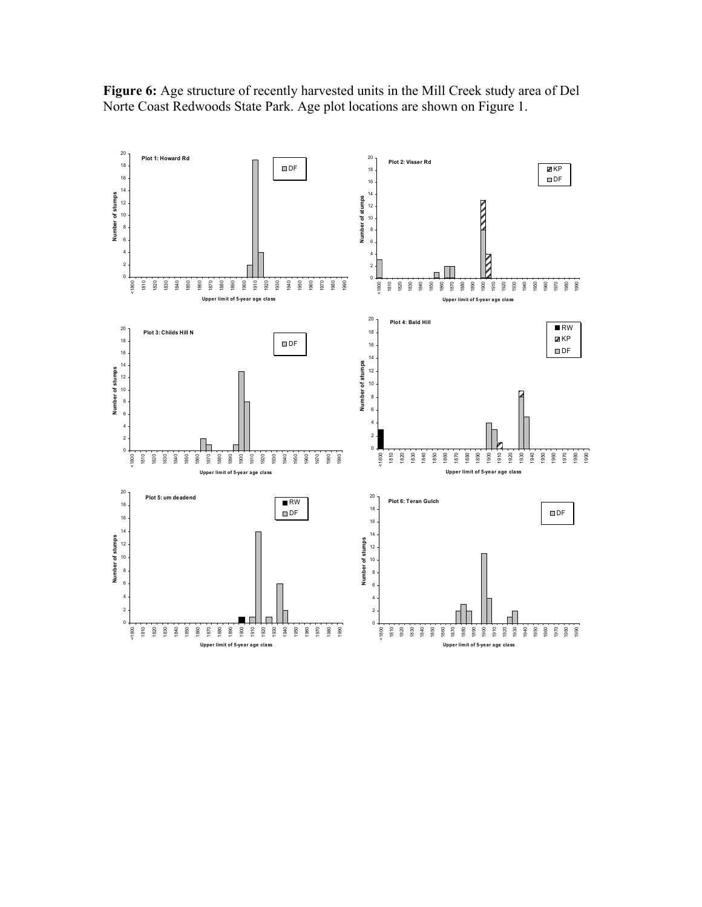**Plot 1: Howard Rd** DF **Plot 2: Visser Rd**  $\overline{\mathbf{M}}$ KP **DF**  Number of stumps **Number of stumps** Number of stumps **Number of stumps NNV**   $\Box$   $\mathfrak{g}$ <1800 1830<br>1840<br>1850 1980<br>1980 1981 1982 1983 1993<br>1993 1994 1995 1998 <1800 ទ<br>ទ<br>ទ ខ្ល<br>ខេ 1980<br>1980<br>1990 **Upper limit of 5-year age class Upper limit of 5-year age class Plot 4: Bald Hill RW Plot 3: Childs Hill N EXP DF DF**  Number of stumps **Number of stumps** Number of stumps **Number of stumps**  $\overline{6}$   $\overline{2}$  $\overline{0}$  $\overline{0}$  <1800 <1800 ទ<br>ទ<br>ទ 198<br>1989<br>1999 1860 1900<br>1910<br>1920 1990 **Upper limit of 5-year age class Upper limit of 5-year age class Plot 5: um deadend Plot 6: Teran Gulch RW ODF DF**  Number of stumps **Number of stumps Number of stumps**  $\overline{6}$  <1800 <1800 1920<br>1920<br>1930 1820 1840 1850 1920 1930 **Upper limit of 5-year age class Upper limit of 5-year age class**

**Figure 6:** Age structure of recently harvested units in the Mill Creek study area of Del Norte Coast Redwoods State Park. Age plot locations are shown on Figure 1.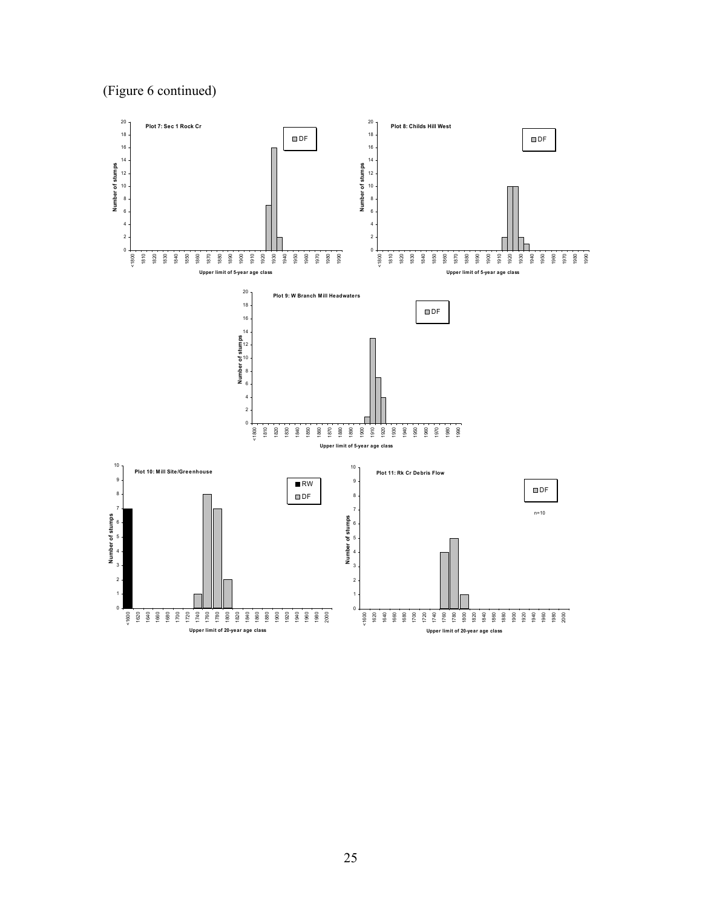# (Figure 6 continued)

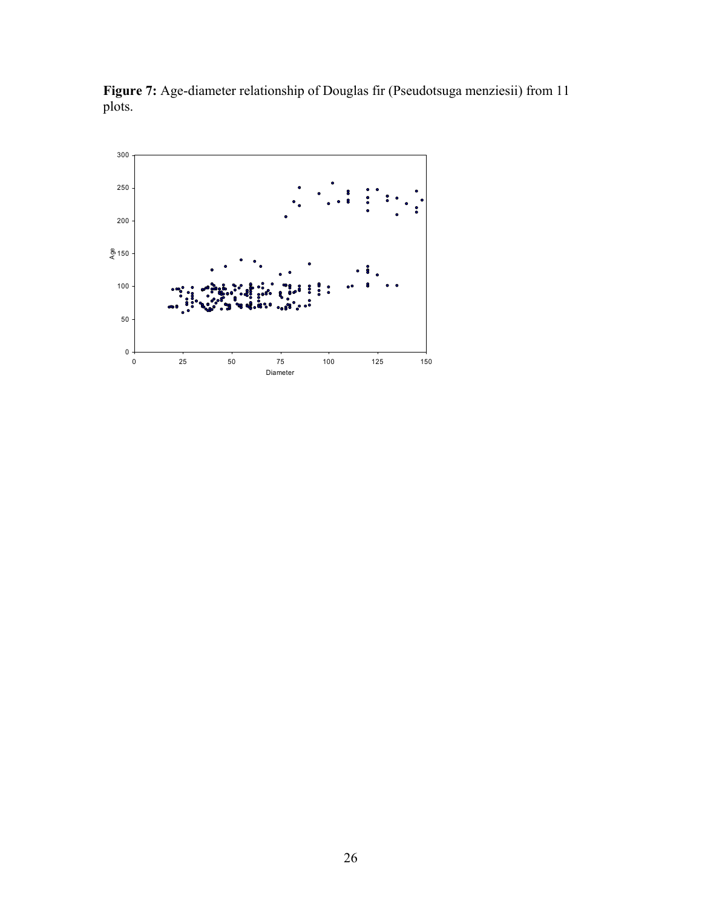

**Figure 7:** Age-diameter relationship of Douglas fir (Pseudotsuga menziesii) from 11 plots.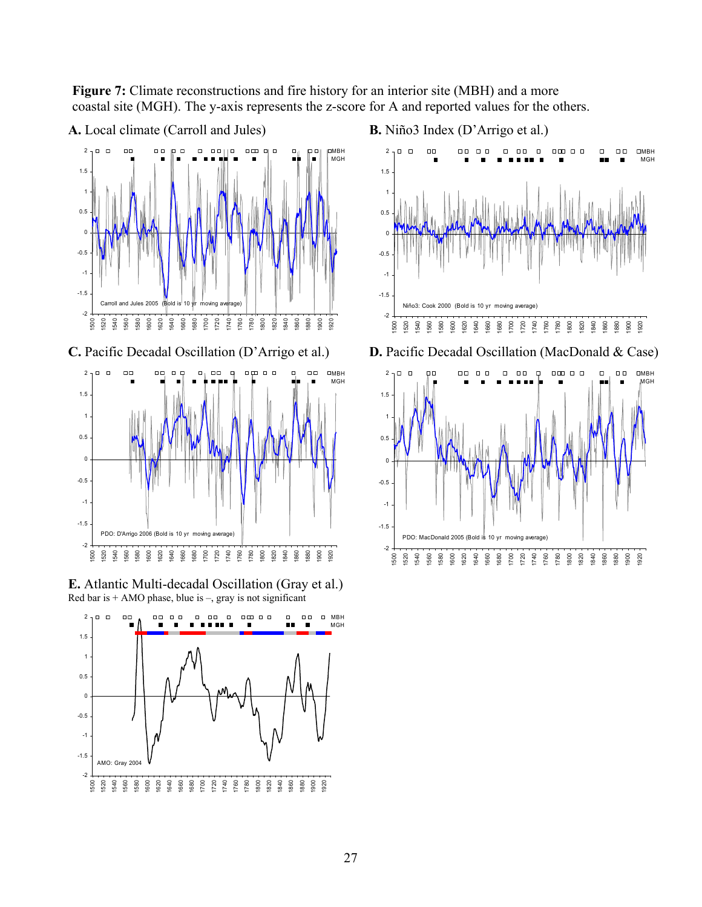**Figure 7:** Climate reconstructions and fire history for an interior site (MBH) and a more coastal site (MGH). The y-axis represents the z-score for A and reported values for the others.



**E.** Atlantic Multi-decadal Oscillation (Gray et al.) Red bar is  $+$  AMO phase, blue is  $-$ , gray is not significant



**B.** Niño3 Index (D'Arrigo et al.)



**D.** Pacific Decadal Oscillation (MacDonald & Case)

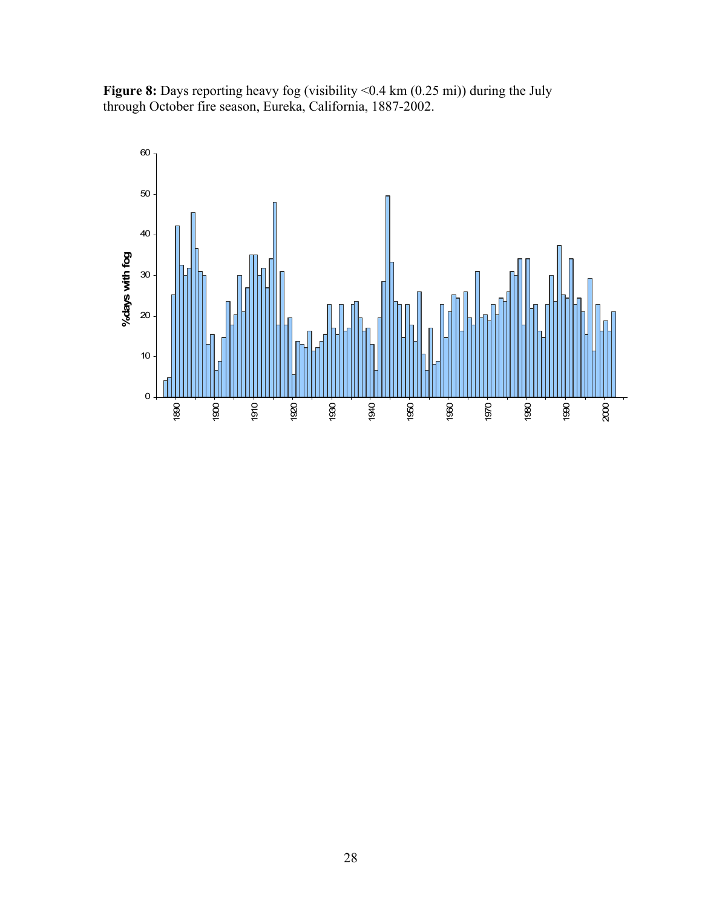**Figure 8:** Days reporting heavy fog (visibility <0.4 km (0.25 mi)) during the July through October fire season, Eureka, California, 1887-2002.

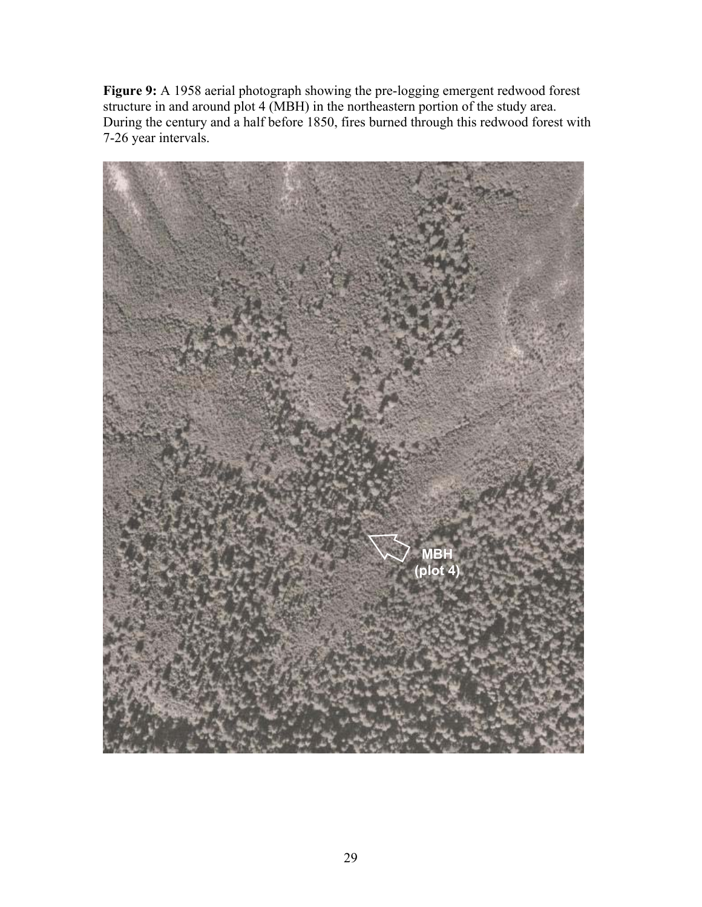**Figure 9:** A 1958 aerial photograph showing the pre-logging emergent redwood forest structure in and around plot 4 (MBH) in the northeastern portion of the study area. During the century and a half before 1850, fires burned through this redwood forest with 7-26 year intervals.

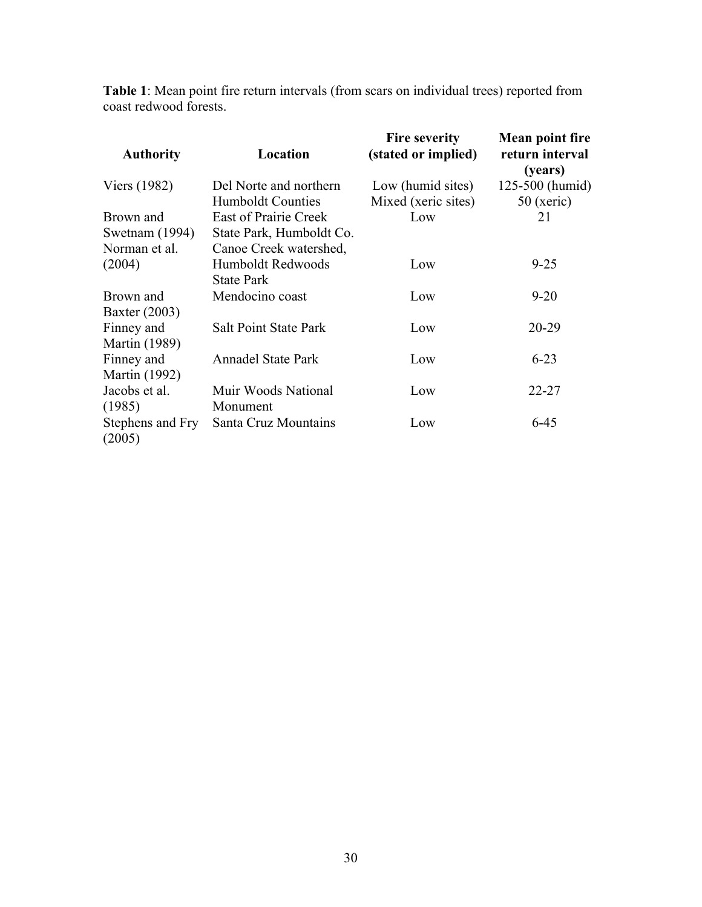**Table 1**: Mean point fire return intervals (from scars on individual trees) reported from coast redwood forests.

| <b>Authority</b>           | Location                     | <b>Fire severity</b><br>(stated or implied) | Mean point fire<br>return interval<br>(years) |
|----------------------------|------------------------------|---------------------------------------------|-----------------------------------------------|
| Viers (1982)               | Del Norte and northern       | Low (humid sites)                           | 125-500 (humid)                               |
|                            | <b>Humboldt Counties</b>     | Mixed (xeric sites)                         | $50$ (xeric)                                  |
| Brown and                  | <b>East of Prairie Creek</b> | Low                                         | 21                                            |
| Swetnam (1994)             | State Park, Humboldt Co.     |                                             |                                               |
| Norman et al.              | Canoe Creek watershed,       |                                             |                                               |
| (2004)                     | Humboldt Redwoods            | Low                                         | $9 - 25$                                      |
|                            | <b>State Park</b>            |                                             |                                               |
| Brown and                  | Mendocino coast              | Low                                         | $9 - 20$                                      |
| Baxter (2003)              |                              |                                             |                                               |
| Finney and                 | <b>Salt Point State Park</b> | Low                                         | $20-29$                                       |
| <b>Martin</b> (1989)       |                              |                                             |                                               |
| Finney and                 | <b>Annadel State Park</b>    | Low                                         | $6 - 23$                                      |
| <b>Martin</b> (1992)       |                              |                                             |                                               |
| Jacobs et al.              | Muir Woods National          | Low                                         | $22 - 27$                                     |
| (1985)                     | Monument                     |                                             |                                               |
| Stephens and Fry<br>(2005) | Santa Cruz Mountains         | Low                                         | $6 - 45$                                      |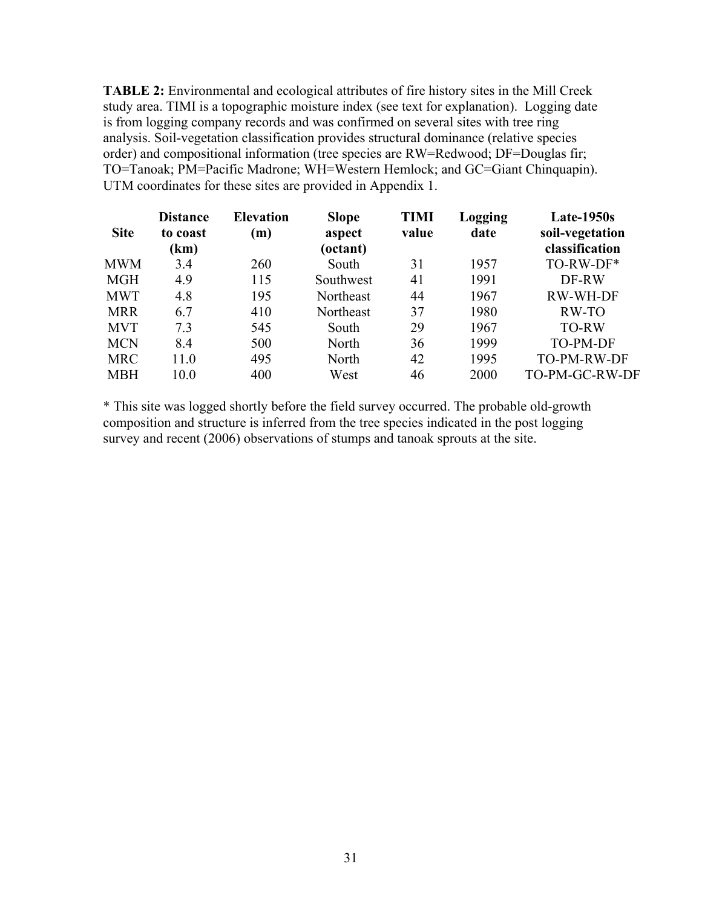**TABLE 2:** Environmental and ecological attributes of fire history sites in the Mill Creek study area. TIMI is a topographic moisture index (see text for explanation). Logging date is from logging company records and was confirmed on several sites with tree ring analysis. Soil-vegetation classification provides structural dominance (relative species order) and compositional information (tree species are RW=Redwood; DF=Douglas fir; TO=Tanoak; PM=Pacific Madrone; WH=Western Hemlock; and GC=Giant Chinquapin). UTM coordinates for these sites are provided in Appendix 1.

| <b>Site</b> | <b>Distance</b><br>to coast<br>(km) | <b>Elevation</b><br>(m) | <b>Slope</b><br>aspect<br>(octant) | <b>TIMI</b><br>value | Logging<br>date | <b>Late-1950s</b><br>soil-vegetation<br>classification |
|-------------|-------------------------------------|-------------------------|------------------------------------|----------------------|-----------------|--------------------------------------------------------|
| MWM         | 3.4                                 | 260                     | South                              | 31                   | 1957            | TO-RW-DF*                                              |
| <b>MGH</b>  | 4.9                                 | 115                     | Southwest                          | 41                   | 1991            | DF-RW                                                  |
| <b>MWT</b>  | 4.8                                 | 195                     | Northeast                          | 44                   | 1967            | RW-WH-DF                                               |
| <b>MRR</b>  | 6.7                                 | 410                     | Northeast                          | 37                   | 1980            | RW-TO                                                  |
| <b>MVT</b>  | 7.3                                 | 545                     | South                              | 29                   | 1967            | <b>TO-RW</b>                                           |
| <b>MCN</b>  | 8.4                                 | 500                     | North                              | 36                   | 1999            | <b>TO-PM-DF</b>                                        |
| <b>MRC</b>  | 11.0                                | 495                     | North                              | 42                   | 1995            | TO-PM-RW-DF                                            |
| <b>MBH</b>  | 10.0                                | 400                     | West                               | 46                   | 2000            | TO-PM-GC-RW-DF                                         |

\* This site was logged shortly before the field survey occurred. The probable old-growth composition and structure is inferred from the tree species indicated in the post logging survey and recent (2006) observations of stumps and tanoak sprouts at the site.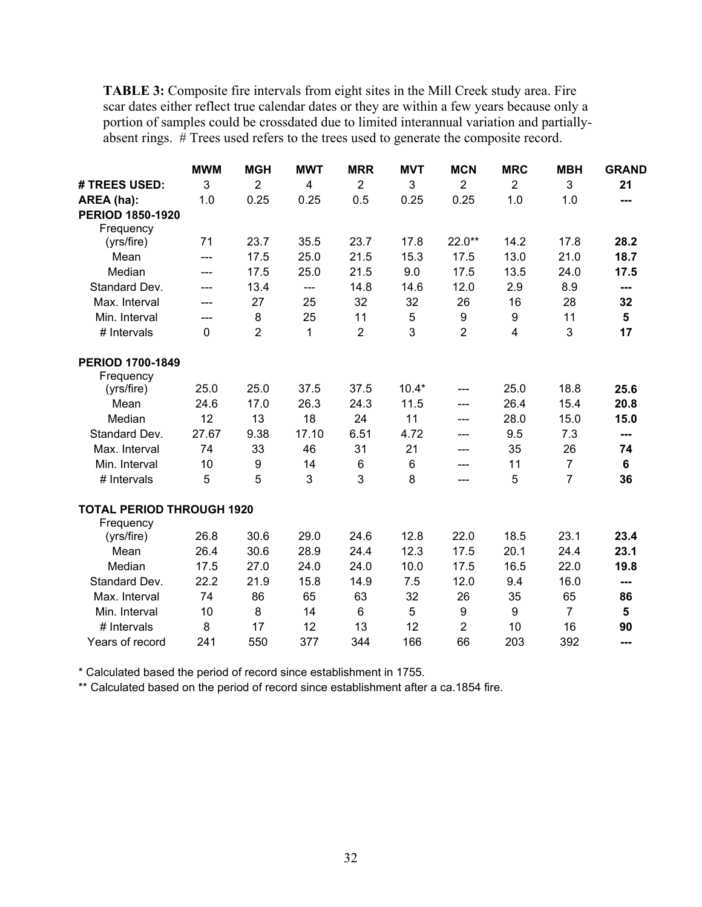**TABLE 3:** Composite fire intervals from eight sites in the Mill Creek study area. Fire scar dates either reflect true calendar dates or they are within a few years because only a portion of samples could be crossdated due to limited interannual variation and partiallyabsent rings. # Trees used refers to the trees used to generate the composite record.

|                                  | <b>MWM</b>  | <b>MGH</b>     | <b>MWT</b>   | <b>MRR</b>     | <b>MVT</b>     | <b>MCN</b>     | <b>MRC</b>     | <b>MBH</b>     | <b>GRAND</b> |
|----------------------------------|-------------|----------------|--------------|----------------|----------------|----------------|----------------|----------------|--------------|
| # TREES USED:                    | 3           | $\overline{2}$ | 4            | $\overline{2}$ | 3              | $\overline{2}$ | $\overline{2}$ | 3              | 21           |
| AREA (ha):                       | 1.0         | 0.25           | 0.25         | 0.5            | 0.25           | 0.25           | 1.0            | 1.0            | ---          |
| <b>PERIOD 1850-1920</b>          |             |                |              |                |                |                |                |                |              |
| Frequency                        |             |                |              |                |                |                |                |                |              |
| (yrs/fire)                       | 71          | 23.7           | 35.5         | 23.7           | 17.8           | 22.0**         | 14.2           | 17.8           | 28.2         |
| Mean                             | ---         | 17.5           | 25.0         | 21.5           | 15.3           | 17.5           | 13.0           | 21.0           | 18.7         |
| Median                           | ---         | 17.5           | 25.0         | 21.5           | 9.0            | 17.5           | 13.5           | 24.0           | 17.5         |
| Standard Dev.                    | ---         | 13.4           | $---$        | 14.8           | 14.6           | 12.0           | 2.9            | 8.9            | ---          |
| Max. Interval                    | $---$       | 27             | 25           | 32             | 32             | 26             | 16             | 28             | 32           |
| Min. Interval                    | ---         | 8              | 25           | 11             | 5              | 9              | 9              | 11             | 5            |
| # Intervals                      | $\mathbf 0$ | $\overline{2}$ | $\mathbf{1}$ | $\overline{2}$ | 3              | $\overline{2}$ | 4              | 3              | 17           |
| <b>PERIOD 1700-1849</b>          |             |                |              |                |                |                |                |                |              |
| Frequency                        |             |                |              |                |                |                |                |                |              |
| (yrs/fire)                       | 25.0        | 25.0           | 37.5         | 37.5           | $10.4*$        | ---            | 25.0           | 18.8           | 25.6         |
| Mean                             | 24.6        | 17.0           | 26.3         | 24.3           | 11.5           | $---$          | 26.4           | 15.4           | 20.8         |
| Median                           | 12          | 13             | 18           | 24             | 11             | ---            | 28.0           | 15.0           | 15.0         |
| Standard Dev.                    | 27.67       | 9.38           | 17.10        | 6.51           | 4.72           | ---            | 9.5            | 7.3            | ---          |
| Max. Interval                    | 74          | 33             | 46           | 31             | 21             | ---            | 35             | 26             | 74           |
| Min. Interval                    | 10          | 9              | 14           | 6              | $6\phantom{1}$ | ---            | 11             | $\overline{7}$ | 6            |
| # Intervals                      | 5           | 5              | 3            | 3              | 8              | ---            | 5              | $\overline{7}$ | 36           |
| <b>TOTAL PERIOD THROUGH 1920</b> |             |                |              |                |                |                |                |                |              |
| Frequency                        |             |                |              |                |                |                |                |                |              |
| (yrs/fire)                       | 26.8        | 30.6           | 29.0         | 24.6           | 12.8           | 22.0           | 18.5           | 23.1           | 23.4         |
| Mean                             | 26.4        | 30.6           | 28.9         | 24.4           | 12.3           | 17.5           | 20.1           | 24.4           | 23.1         |
| Median                           | 17.5        | 27.0           | 24.0         | 24.0           | 10.0           | 17.5           | 16.5           | 22.0           | 19.8         |
| Standard Dev.                    | 22.2        | 21.9           | 15.8         | 14.9           | 7.5            | 12.0           | 9.4            | 16.0           | ---          |
| Max. Interval                    | 74          | 86             | 65           | 63             | 32             | 26             | 35             | 65             | 86           |
| Min. Interval                    | 10          | 8              | 14           | $6\phantom{1}$ | 5              | 9              | 9              | $\overline{7}$ | 5            |
| # Intervals                      | 8           | 17             | 12           | 13             | 12             | $\overline{2}$ | 10             | 16             | 90           |
| Years of record                  | 241         | 550            | 377          | 344            | 166            | 66             | 203            | 392            | ---          |

\* Calculated based the period of record since establishment in 1755.

\*\* Calculated based on the period of record since establishment after a ca.1854 fire.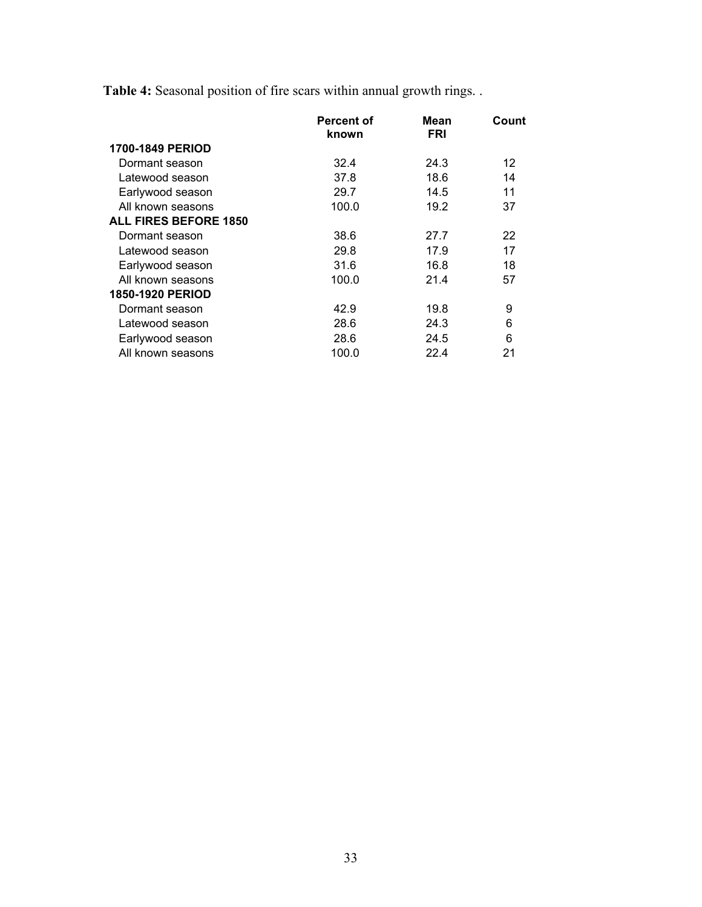**Table 4:** Seasonal position of fire scars within annual growth rings. .

|                              | <b>Percent of</b><br>known | Mean<br><b>FRI</b> | Count |
|------------------------------|----------------------------|--------------------|-------|
| <b>1700-1849 PERIOD</b>      |                            |                    |       |
| Dormant season               | 32.4                       | 24.3               | 12    |
| Latewood season              | 37.8                       | 18.6               | 14    |
| Earlywood season             | 29.7                       | 14.5               | 11    |
| All known seasons            | 100.0                      | 19.2               | 37    |
| <b>ALL FIRES BEFORE 1850</b> |                            |                    |       |
| Dormant season               | 38.6                       | 27.7               | 22    |
| Latewood season              | 29.8                       | 17.9               | 17    |
| Earlywood season             | 31.6                       | 16.8               | 18    |
| All known seasons            | 100.0                      | 21.4               | 57    |
| <b>1850-1920 PERIOD</b>      |                            |                    |       |
| Dormant season               | 42.9                       | 19.8               | 9     |
| Latewood season              | 28.6                       | 24.3               | 6     |
| Earlywood season             | 28.6                       | 24.5               | 6     |
| All known seasons            | 100.0                      | 22.4               | 21    |